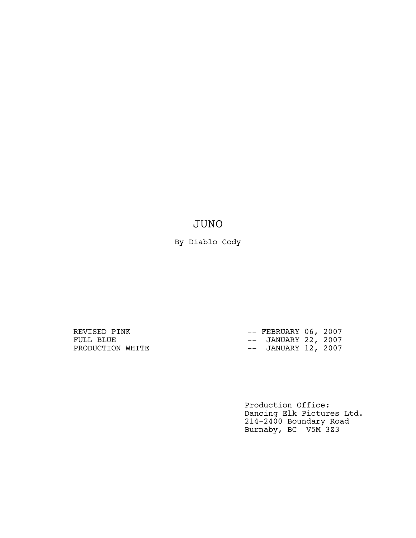# JUNO

By Diablo Cody

REVISED PINK  $--$  FEBRUARY 06, 2007 FULL BLUE  $---$  JANUARY 22, 2007 PRODUCTION WHITE  $---$  JANUARY 12, 2007

> Production Office: Dancing Elk Pictures Ltd. 214-2400 Boundary Road Burnaby, BC V5M 3Z3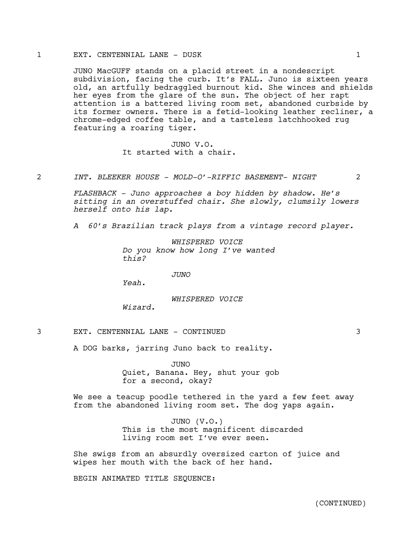## 1 EXT. CENTENNIAL LANE - DUSK 1

JUNO MacGUFF stands on a placid street in a nondescript subdivision, facing the curb. It's FALL. Juno is sixteen years old, an artfully bedraggled burnout kid. She winces and shields her eyes from the glare of the sun. The object of her rapt attention is a battered living room set, abandoned curbside by its former owners. There is a fetid-looking leather recliner, a chrome-edged coffee table, and a tasteless latchhooked rug featuring a roaring tiger.

> JUNO V.O. It started with a chair.

#### 2 *INT. BLEEKER HOUSE - MOLD-O'-RIFFIC BASEMENT- NIGHT* 2

*FLASHBACK - Juno approaches a boy hidden by shadow. He's sitting in an overstuffed chair. She slowly, clumsily lowers herself onto his lap.* 

*A 60's Brazilian track plays from a vintage record player.* 

*WHISPERED VOICE Do you know how long I've wanted this?*

#### *JUNO*

*Yeah.*

# *WHISPERED VOICE*

*Wizard.*

3 EXT. CENTENNIAL LANE - CONTINUED 3

A DOG barks, jarring Juno back to reality.

JUNO Quiet, Banana. Hey, shut your gob for a second, okay?

We see a teacup poodle tethered in the yard a few feet away from the abandoned living room set. The dog yaps again.

> JUNO (V.O.) This is the most magnificent discarded living room set I've ever seen.

She swigs from an absurdly oversized carton of juice and wipes her mouth with the back of her hand.

BEGIN ANIMATED TITLE SEQUENCE: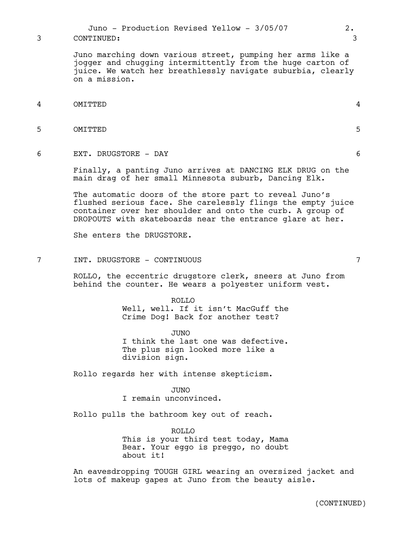Juno marching down various street, pumping her arms like a jogger and chugging intermittently from the huge carton of juice. We watch her breathlessly navigate suburbia, clearly on a mission.

- 4 OMITTED 4
- 5 OMITTED 5
- 6 EXT. DRUGSTORE DAY 6

Finally, a panting Juno arrives at DANCING ELK DRUG on the main drag of her small Minnesota suburb, Dancing Elk.

The automatic doors of the store part to reveal Juno's flushed serious face. She carelessly flings the empty juice container over her shoulder and onto the curb. A group of DROPOUTS with skateboards near the entrance glare at her.

She enters the DRUGSTORE.

7 INT. DRUGSTORE - CONTINUOUS 7

ROLLO, the eccentric drugstore clerk, sneers at Juno from behind the counter. He wears a polyester uniform vest.

> ROLLO Well, well. If it isn't MacGuff the Crime Dog! Back for another test?

> JUNO I think the last one was defective. The plus sign looked more like a division sign.

Rollo regards her with intense skepticism.

JUNO I remain unconvinced.

Rollo pulls the bathroom key out of reach.

ROLLO This is your third test today, Mama Bear. Your eggo is preggo, no doubt about it!

An eavesdropping TOUGH GIRL wearing an oversized jacket and lots of makeup gapes at Juno from the beauty aisle.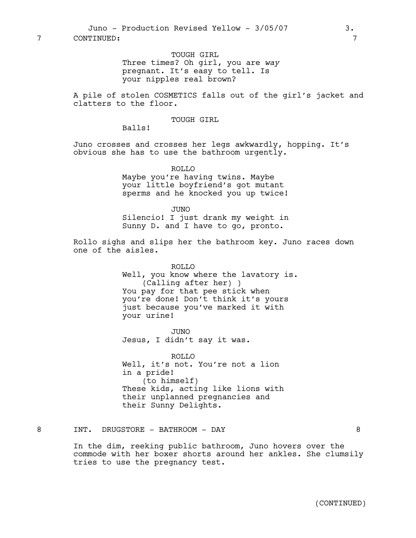TOUGH GIRL Three times? Oh girl, you are *way* pregnant. It's easy to tell. Is your nipples real brown?

A pile of stolen COSMETICS falls out of the girl's jacket and clatters to the floor.

# TOUGH GIRL

Balls!

Juno crosses and crosses her legs awkwardly, hopping. It's obvious she has to use the bathroom urgently.

> ROLLO Maybe you're having twins. Maybe your little boyfriend's got mutant sperms and he knocked you up twice!

> JUNO Silencio! I just drank my weight in Sunny D. and I have to go, pronto.

Rollo sighs and slips her the bathroom key. Juno races down one of the aisles.

> ROLLO Well, you know where the lavatory is. (Calling after her) ) You pay for that pee stick when you're done! Don't think it's yours just because you've marked it with your urine!

JUNO Jesus, I didn't say it was.

ROLLO Well, it's not. You're not a lion in a pride! (to himself) These kids, acting like lions with their unplanned pregnancies and their Sunny Delights.

8 INT. DRUGSTORE – BATHROOM – DAY 8

In the dim, reeking public bathroom, Juno hovers over the commode with her boxer shorts around her ankles. She clumsily tries to use the pregnancy test.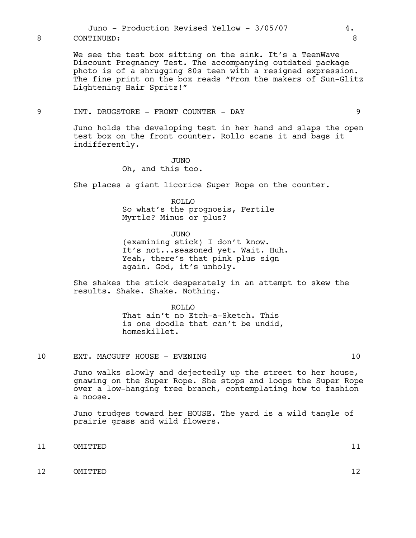We see the test box sitting on the sink. It's a TeenWave Discount Pregnancy Test. The accompanying outdated package photo is of a shrugging 80s teen with a resigned expression. The fine print on the box reads "From the makers of Sun-Glitz Lightening Hair Spritz!"

# 9 INT. DRUGSTORE - FRONT COUNTER - DAY 9

Juno holds the developing test in her hand and slaps the open test box on the front counter. Rollo scans it and bags it indifferently.

# JUNO Oh, and this too.

She places a giant licorice Super Rope on the counter.

ROLLO So what's the prognosis, Fertile Myrtle? Minus or plus?

JUNO (examining stick) I don't know. It's not...seasoned yet. Wait. Huh. Yeah, there's that pink plus sign again. God, it's unholy.

She shakes the stick desperately in an attempt to skew the results. Shake. Shake. Nothing.

> ROLLO That ain't no Etch-a-Sketch. This is one doodle that can't be undid, homeskillet.

# 10 EXT. MACGUFF HOUSE - EVENING 10

Juno walks slowly and dejectedly up the street to her house, gnawing on the Super Rope. She stops and loops the Super Rope over a low-hanging tree branch, contemplating how to fashion a noose.

Juno trudges toward her HOUSE. The yard is a wild tangle of prairie grass and wild flowers.

- 11 OMITTED 11
- 12 OMITTED 12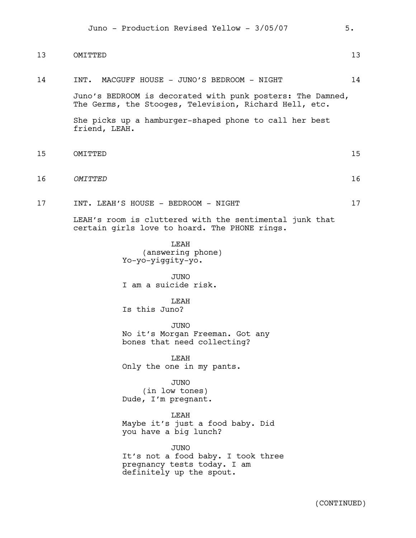| 13 | OMITTED                                                                                                              | 13 |
|----|----------------------------------------------------------------------------------------------------------------------|----|
| 14 | INT. MACGUFF HOUSE - JUNO'S BEDROOM - NIGHT                                                                          | 14 |
|    | Juno's BEDROOM is decorated with punk posters: The Damned,<br>The Germs, the Stooges, Television, Richard Hell, etc. |    |
|    | She picks up a hamburger-shaped phone to call her best<br>friend, LEAH.                                              |    |
| 15 | OMITTED                                                                                                              | 15 |
| 16 | OMITTED                                                                                                              | 16 |
| 17 | INT. LEAH'S HOUSE - BEDROOM - NIGHT                                                                                  | 17 |
|    | LEAH's room is cluttered with the sentimental junk that<br>certain girls love to hoard. The PHONE rings.             |    |
|    | LEAH<br>(answering phone)<br>Yo-yo-yiggity-yo.                                                                       |    |
|    | <b>JUNO</b><br>I am a suicide risk.                                                                                  |    |
|    | LEAH<br>Is this Juno?                                                                                                |    |
|    | <b>JUNO</b><br>No it's Morgan Freeman. Got any<br>bones that need collecting?                                        |    |
|    | LEAH<br>Only the one in my pants.                                                                                    |    |
|    | <b>JUNO</b><br>(in low tones)<br>Dude, I'm pregnant.                                                                 |    |
|    | LEAH<br>Maybe it's just a food baby. Did<br>you have a big lunch?                                                    |    |
|    | <b>JUNO</b><br>It's not a food baby. I took three<br>pregnancy tests today. I am<br>definitely up the spout.         |    |
|    | (CONTINUED)                                                                                                          |    |

Juno - Production Revised Yellow - 3/05/07 5.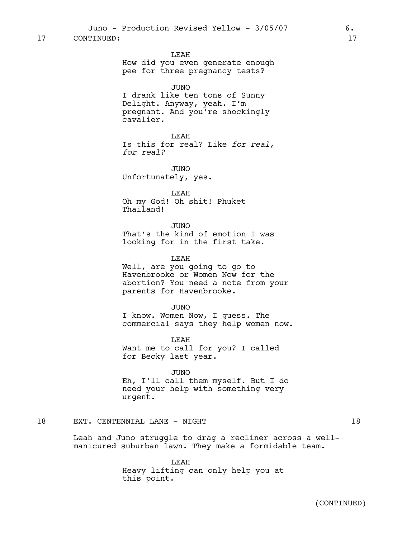LEAH

How did you even generate enough pee for three pregnancy tests?

#### JUNO

I drank like ten tons of Sunny Delight. Anyway, yeah. I'm pregnant. And you're shockingly cavalier.

LEAH Is this for real? Like *for real, for real?*

JUNO Unfortunately, yes.

LEAH Oh my God! Oh shit! Phuket Thailand!

JUNO That's the kind of emotion I was looking for in the first take.

#### LEAH

Well, are you going to go to Havenbrooke or Women Now for the abortion? You need a note from your parents for Havenbrooke.

JUNO I know. Women Now, I guess. The commercial says they help women now.

LEAH Want me to call for you? I called for Becky last year.

JUNO Eh, I'll call them myself. But I do need your help with something very urgent.

## 18 EXT. CENTENNIAL LANE - NIGHT 18 18

Leah and Juno struggle to drag a recliner across a wellmanicured suburban lawn. They make a formidable team.

> LEAH Heavy lifting can only help you at this point.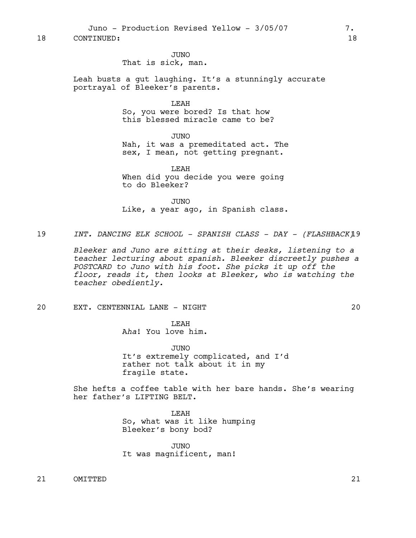Juno - Production Revised Yellow - 3/05/07 7.

18 CONTINUED: 18

JUNO That is sick, man.

Leah busts a gut laughing. It's a stunningly accurate portrayal of Bleeker's parents.

> LEAH So, you were bored? Is that how this blessed miracle came to be?

JUNO Nah, it was a premeditated act. The sex, I mean, not getting pregnant.

LEAH When did you decide you were going to do Bleeker?

JUNO Like, a year ago, in Spanish class.

19 *INT. DANCING ELK SCHOOL - SPANISH CLASS - DAY - (FLASHBACK)*19

*Bleeker and Juno are sitting at their desks, listening to a teacher lecturing about spanish. Bleeker discreetly pushes a POSTCARD to Juno with his foot. She picks it up off the floor, reads it, then looks at Bleeker, who is watching the teacher obediently.*

20 EXT. CENTENNIAL LANE - NIGHT 20

**T.EAH** A*ha*! You love him.

JUNO It's extremely complicated, and I'd rather not talk about it in my fragile state.

She hefts a coffee table with her bare hands. She's wearing her father's LIFTING BELT.

> LEAH So, what was it like humping Bleeker's bony bod?

JUNO It was magnificent, man!

21 OMITTED 21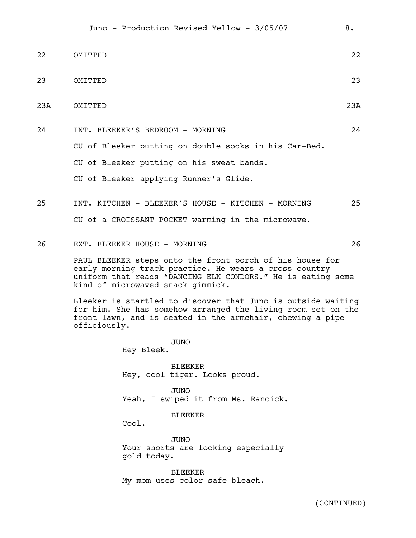| 22              | OMTTTED                                                                                                                                                                                                                | 2.2 <sub>1</sub> |  |
|-----------------|------------------------------------------------------------------------------------------------------------------------------------------------------------------------------------------------------------------------|------------------|--|
| 23              | OMITTED                                                                                                                                                                                                                | 23               |  |
| 23 <sub>A</sub> | OMITTED                                                                                                                                                                                                                | 23A              |  |
| 2.4             | INT. BLEEKER'S BEDROOM - MORNING                                                                                                                                                                                       | 24               |  |
|                 | CU of Bleeker putting on double socks in his Car-Bed.                                                                                                                                                                  |                  |  |
|                 | CU of Bleeker putting on his sweat bands.                                                                                                                                                                              |                  |  |
|                 | CU of Bleeker applying Runner's Glide.                                                                                                                                                                                 |                  |  |
| 25              | INT. KITCHEN - BLEEKER'S HOUSE - KITCHEN - MORNING<br>CU of a CROISSANT POCKET warming in the microwave.                                                                                                               | 25               |  |
| 2.6             | EXT. BLEEKER HOUSE - MORNING                                                                                                                                                                                           | 26               |  |
|                 | PAUL BLEEKER steps onto the front porch of his house for<br>early morning track practice. He wears a cross country<br>uniform that reads "DANCING ELK CONDORS." He is eating some<br>kind of microwaved snack gimmick. |                  |  |
|                 | Bleeker is startled to discover that Juno is outside waiting<br>for him. She has somehow arranged the living room set on the<br>front lawn, and is seated in the armchair, chewing a pipe<br>officiously.              |                  |  |

JUNO Hey Bleek.

BLEEKER Hey, cool tiger. Looks proud.

JUNO Yeah, I swiped it from Ms. Rancick.

BLEEKER

Cool.

JUNO Your shorts are looking especially gold today.

BLEEKER My mom uses color-safe bleach.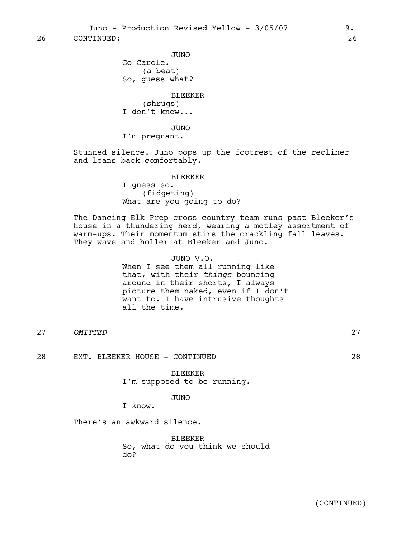26 CONTINUED: 26

JUNO Go Carole. (a beat) So, guess what? BLEEKER (shrugs) I don't know... JUNO

I'm pregnant.

Stunned silence. Juno pops up the footrest of the recliner and leans back comfortably.

> BLEEKER I guess so. (fidgeting) What are you going to do?

The Dancing Elk Prep cross country team runs past Bleeker's house in a thundering herd, wearing a motley assortment of warm-ups. Their momentum stirs the crackling fall leaves. They wave and holler at Bleeker and Juno.

> JUNO V.O. When I see them all running like that, with their *things* bouncing around in their shorts, I always picture them naked, even if I don't want to. I have intrusive thoughts all the time.

27 *OMITTED* 27

28 EXT. BLEEKER HOUSE - CONTINUED 28

BLEEKER I'm supposed to be running.

# JUNO

I know.

There's an awkward silence.

BLEEKER So, what do you think we should do?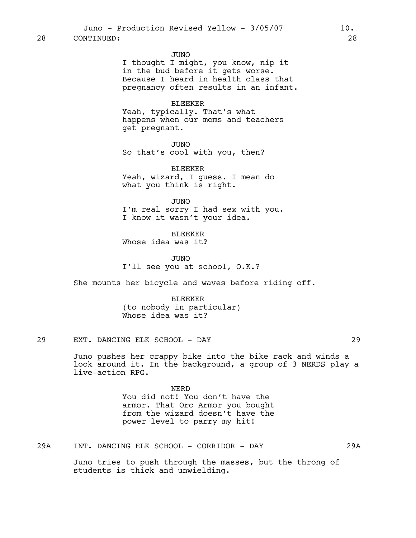JUNO

I thought I might, you know, nip it in the bud before it gets worse. Because I heard in health class that pregnancy often results in an infant.

#### BLEEKER

Yeah, typically. That's what happens when our moms and teachers get pregnant.

JUNO So that's cool with you, then?

BLEEKER Yeah, wizard, I guess. I mean do what you think is right.

JUNO I'm real sorry I had sex with you. I know it wasn't your idea.

BLEEKER Whose idea was it?

JUNO I'll see you at school, O.K.?

She mounts her bicycle and waves before riding off.

BLEEKER (to nobody in particular) Whose idea was it?

29 EXT. DANCING ELK SCHOOL - DAY 29

Juno pushes her crappy bike into the bike rack and winds a lock around it. In the background, a group of 3 NERDS play a live-action RPG.

> NERD You did not! You don't have the armor. That Orc Armor you bought from the wizard doesn't have the power level to parry my hit!

29A INT. DANCING ELK SCHOOL - CORRIDOR - DAY 29A

Juno tries to push through the masses, but the throng of students is thick and unwielding.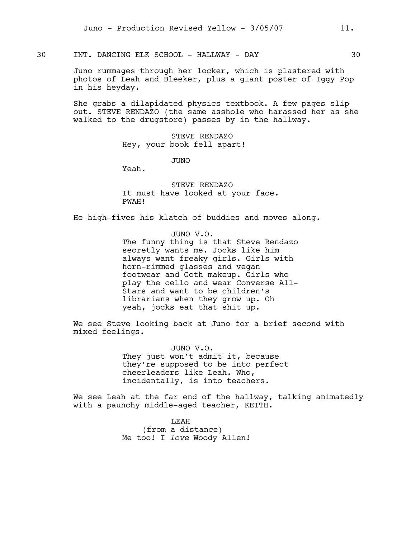30 INT. DANCING ELK SCHOOL - HALLWAY - DAY 30

Juno rummages through her locker, which is plastered with photos of Leah and Bleeker, plus a giant poster of Iggy Pop in his heyday.

She grabs a dilapidated physics textbook. A few pages slip out. STEVE RENDAZO (the same asshole who harassed her as she walked to the drugstore) passes by in the hallway.

> STEVE RENDAZO Hey, your book fell apart!

> > JUNO

Yeah.

STEVE RENDAZO It must have looked at your face. PWAH!

He high-fives his klatch of buddies and moves along.

JUNO V.O. The funny thing is that Steve Rendazo secretly wants me. Jocks like him always want freaky girls. Girls with horn-rimmed glasses and vegan footwear and Goth makeup. Girls who play the cello and wear Converse All-Stars and want to be children's librarians when they grow up. Oh yeah, jocks eat that shit up.

We see Steve looking back at Juno for a brief second with mixed feelings.

> JUNO V.O. They just won't admit it, because they're supposed to be into perfect cheerleaders like Leah. Who, incidentally, is into teachers.

We see Leah at the far end of the hallway, talking animatedly with a paunchy middle-aged teacher, KEITH.

> LEAH (from a distance) Me too! I *love* Woody Allen!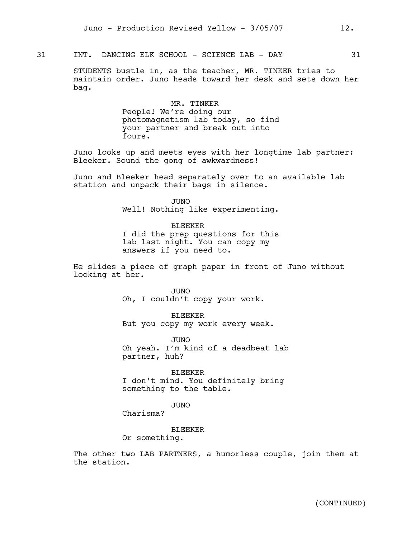31 INT. DANCING ELK SCHOOL - SCIENCE LAB - DAY 31

STUDENTS bustle in, as the teacher, MR. TINKER tries to maintain order. Juno heads toward her desk and sets down her bag.

> MR. TINKER People! We're doing our photomagnetism lab today, so find your partner and break out into fours.

Juno looks up and meets eyes with her longtime lab partner: Bleeker. Sound the gong of awkwardness!

Juno and Bleeker head separately over to an available lab station and unpack their bags in silence.

> JUNO Well! Nothing like experimenting.

> BLEEKER I did the prep questions for this lab last night. You can copy my answers if you need to.

He slides a piece of graph paper in front of Juno without looking at her.

> JUNO Oh, I couldn't copy your work.

BLEEKER But you copy my work every week.

JUNO Oh yeah. I'm kind of a deadbeat lab partner, huh?

BLEEKER I don't mind. You definitely bring something to the table.

JUNO

Charisma?

BLEEKER

Or something.

The other two LAB PARTNERS, a humorless couple, join them at the station.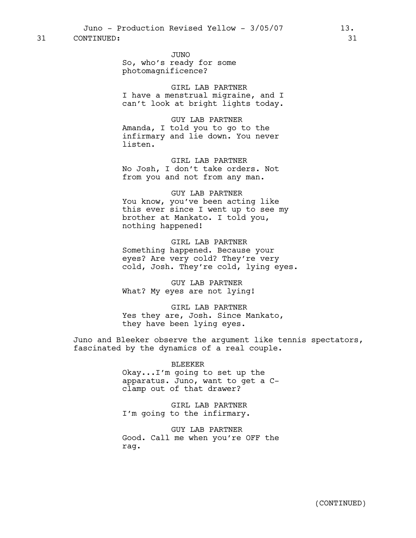Juno - Production Revised Yellow - 3/05/07 13.

31 CONTINUED: 31

JUNO So, who's ready for some photomagnificence?

GIRL LAB PARTNER I have a menstrual migraine, and I can't look at bright lights today.

GUY LAB PARTNER Amanda, I told you to go to the infirmary and lie down. You never listen.

GIRL LAB PARTNER No Josh, I don't take orders. Not from you and not from any man.

GUY LAB PARTNER You know, you've been acting like this ever since I went up to see my brother at Mankato. I told you, nothing happened!

GIRL LAB PARTNER Something happened. Because your eyes? Are very cold? They're very cold, Josh. They're cold, lying eyes.

GUY LAB PARTNER What? My eyes are not lying!

GIRL LAB PARTNER Yes they are, Josh. Since Mankato, they have been lying eyes.

Juno and Bleeker observe the argument like tennis spectators, fascinated by the dynamics of a real couple.

> BLEEKER Okay...I'm going to set up the apparatus. Juno, want to get a Cclamp out of that drawer?

GIRL LAB PARTNER I'm going to the infirmary.

GUY LAB PARTNER Good. Call me when you're OFF the rag.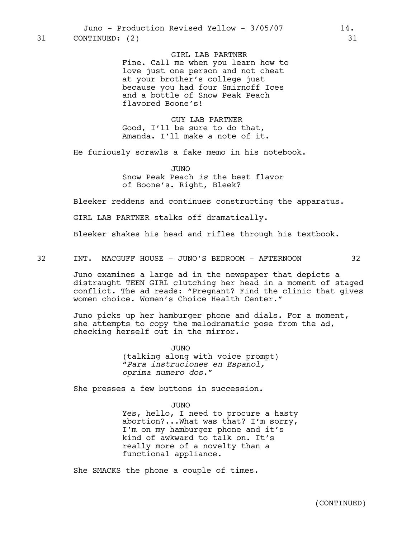GIRL LAB PARTNER Fine. Call me when you learn how to love just one person and not cheat at your brother's college just because you had four Smirnoff Ices and a bottle of Snow Peak Peach flavored Boone's!

GUY LAB PARTNER Good, I'll be sure to do that, Amanda. I'll make a note of it.

He furiously scrawls a fake memo in his notebook.

JUNO Snow Peak Peach *is* the best flavor of Boone's. Right, Bleek?

Bleeker reddens and continues constructing the apparatus.

GIRL LAB PARTNER stalks off dramatically.

Bleeker shakes his head and rifles through his textbook.

32 INT. MACGUFF HOUSE - JUNO'S BEDROOM - AFTERNOON 32

Juno examines a large ad in the newspaper that depicts a distraught TEEN GIRL clutching her head in a moment of staged conflict. The ad reads: "Pregnant? Find the clinic that gives women choice. Women's Choice Health Center."

Juno picks up her hamburger phone and dials. For a moment, she attempts to copy the melodramatic pose from the  $ad$ , checking herself out in the mirror.

> JUNO (talking along with voice prompt) *"Para instruciones en Espanol, oprima numero dos."*

She presses a few buttons in succession.

JUNO Yes, hello, I need to procure a hasty abortion?...What was that? I'm sorry, I'm on my hamburger phone and it's kind of awkward to talk on. It's really more of a novelty than a functional appliance.

She SMACKS the phone a couple of times.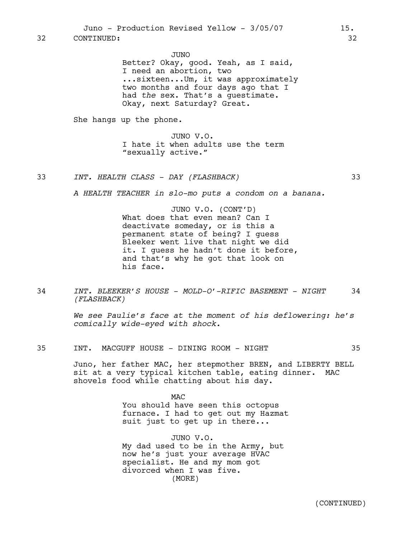JUNO

Better? Okay, good. Yeah, as I said, I need an abortion, two ...sixteen...Um, it was approximately two months and four days ago that I had *the* sex. That's a guestimate. Okay, next Saturday? Great.

She hangs up the phone.

JUNO V.O. I hate it when adults use the term "sexually active."

33 *INT. HEALTH CLASS - DAY (FLASHBACK)* 33

*A HEALTH TEACHER in slo-mo puts a condom on a banana.*

JUNO V.O. (CONT'D) What does that even mean? Can I deactivate someday, or is this a permanent state of being? I guess Bleeker went live that night we did it. I guess he hadn't done it before, and that's why he got that look on his face.

34 *INT. BLEEKER'S HOUSE - MOLD-O'-RIFIC BASEMENT - NIGHT* 34 *(FLASHBACK)*

> *We see Paulie's face at the moment of his deflowering: he's comically wide-eyed with shock.*

35 INT. MACGUFF HOUSE - DINING ROOM - NIGHT 35

Juno, her father MAC, her stepmother BREN, and LIBERTY BELL sit at a very typical kitchen table, eating dinner. MAC shovels food while chatting about his day.

> MAC You should have seen this octopus furnace. I had to get out my Hazmat suit just to get up in there...

JUNO V.O. My dad used to be in the Army, but now he's just your average HVAC specialist. He and my mom got divorced when I was five. (MORE)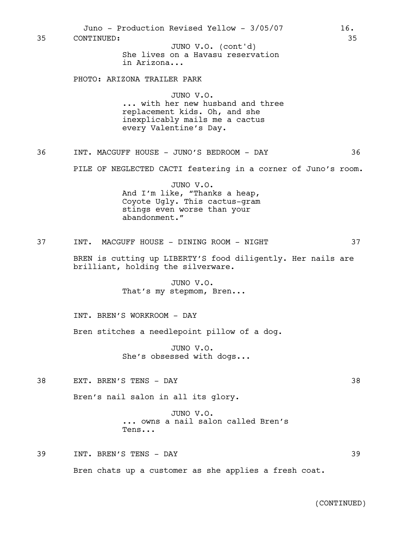| 35 | Juno - Production Revised Yellow - 3/05/07<br>CONTINUED:                                                                                 | 16.<br>35 |
|----|------------------------------------------------------------------------------------------------------------------------------------------|-----------|
|    | JUNO V.O. (cont'd)<br>She lives on a Havasu reservation<br>in Arizona                                                                    |           |
|    | PHOTO: ARIZONA TRAILER PARK                                                                                                              |           |
|    | JUNO V.O.<br>with her new husband and three<br>replacement kids. Oh, and she<br>inexplicably mails me a cactus<br>every Valentine's Day. |           |
| 36 | INT. MACGUFF HOUSE - JUNO'S BEDROOM - DAY                                                                                                | 36        |
|    | PILE OF NEGLECTED CACTI festering in a corner of Juno's room.                                                                            |           |
|    | JUNO V.O.<br>And I'm like, "Thanks a heap,<br>Coyote Ugly. This cactus-gram<br>stings even worse than your<br>abandonment."              |           |
| 37 | INT. MACGUFF HOUSE - DINING ROOM - NIGHT                                                                                                 | 37        |
|    | BREN is cutting up LIBERTY'S food diligently. Her nails are<br>brilliant, holding the silverware.                                        |           |
|    | JUNO V.O.<br>That's my stepmom, Bren                                                                                                     |           |
|    | INT. BREN'S WORKROOM - DAY                                                                                                               |           |
|    | Bren stitches a needlepoint pillow of a dog.                                                                                             |           |
|    | JUNO V.O.<br>She's obsessed with dogs                                                                                                    |           |
| 38 | EXT. BREN'S TENS - DAY                                                                                                                   | 38        |
|    | Bren's nail salon in all its glory.                                                                                                      |           |
|    | JUNO V.O.<br>owns a nail salon called Bren's<br>Tens                                                                                     |           |
| 39 | INT. BREN'S TENS - DAY                                                                                                                   | 39        |
|    | Bren chats up a customer as she applies a fresh coat.                                                                                    |           |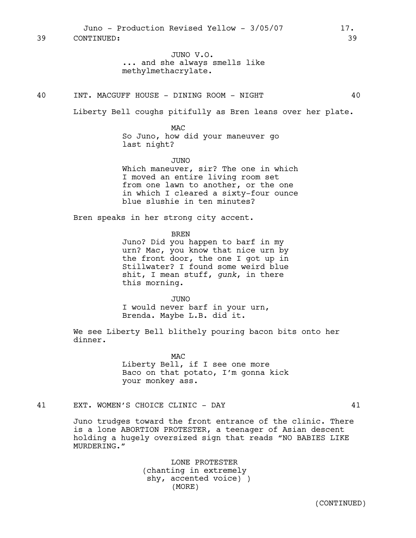JUNO V.O. ... and she always smells like methylmethacrylate.

### 40 INT. MACGUFF HOUSE - DINING ROOM - NIGHT 40

Liberty Bell coughs pitifully as Bren leans over her plate.

MAC So Juno, how did your maneuver go last night?

JUNO Which maneuver, sir? The one in which I moved an entire living room set from one lawn to another, or the one in which I cleared a sixty-four ounce blue slushie in ten minutes?

Bren speaks in her strong city accent.

BREN

Juno? Did you happen to barf in my urn? Mac, you know that nice urn by the front door, the one I got up in Stillwater? I found some weird blue shit, I mean stuff, *gunk*, in there this morning.

JUNO I would never barf in your urn, Brenda. Maybe L.B. did it.

We see Liberty Bell blithely pouring bacon bits onto her dinner.

> MAC Liberty Bell, if I see one more Baco on that potato, I'm gonna kick your monkey ass.

41 EXT. WOMEN'S CHOICE CLINIC - DAY 41

Juno trudges toward the front entrance of the clinic. There is a lone ABORTION PROTESTER, a teenager of Asian descent holding a hugely oversized sign that reads "NO BABIES LIKE MURDERING."

> LONE PROTESTER (chanting in extremely shy, accented voice) ) (MORE)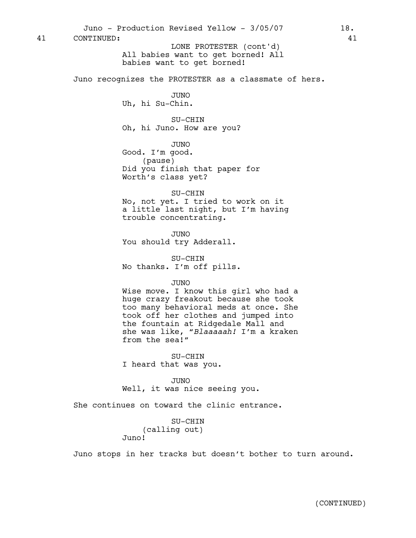All babies want to get borned! All babies want to get borned! Juno recognizes the PROTESTER as a classmate of hers. JUNO Uh, hi Su-Chin. SU-CHIN Oh, hi Juno. How are you? JUNO Good. I'm good. (pause) Did you finish that paper for Worth's class yet? SU-CHIN No, not yet. I tried to work on it a little last night, but I'm having trouble concentrating. JUNO You should try Adderall. SU-CHIN No thanks. I'm off pills. JUNO Wise move. I know this girl who had a huge crazy freakout because she took too many behavioral meds at once. She took off her clothes and jumped into the fountain at Ridgedale Mall and she was like, *"Blaaaaah!* I'm a kraken from the sea!*"* SU-CHIN I heard that was you. JUNO Well, it was nice seeing you. She continues on toward the clinic entrance. SU-CHIN (calling out) Juno! Juno stops in her tracks but doesn't bother to turn around. Juno - Production Revised Yellow - 3/05/07 18. 41 CONTINUED: 41 LONE PROTESTER (cont'd)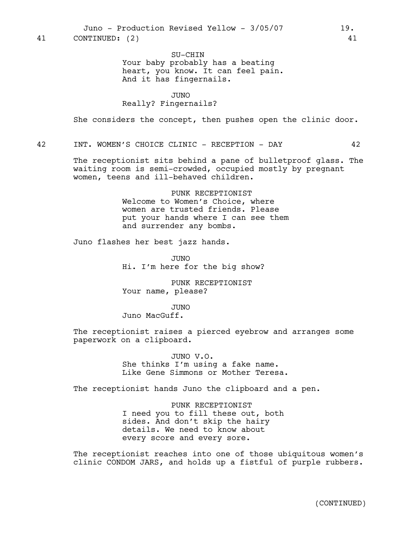Juno - Production Revised Yellow - 3/05/07 19. 41 CONTINUED: (2) 41

SU-CHIN Your baby probably has a beating heart, you know. It can feel pain. And it has fingernails.

## JUNO

## Really? Fingernails?

She considers the concept, then pushes open the clinic door.

42 INT. WOMEN'S CHOICE CLINIC - RECEPTION - DAY 42

The receptionist sits behind a pane of bulletproof glass. The waiting room is semi-crowded, occupied mostly by pregnant women, teens and ill-behaved children.

> PUNK RECEPTIONIST Welcome to Women's Choice, where women are trusted friends. Please put your hands where I can see them and surrender any bombs.

Juno flashes her best jazz hands.

JUNO Hi. I'm here for the big show?

PUNK RECEPTIONIST Your name, please?

#### JUNO

Juno MacGuff.

The receptionist raises a pierced eyebrow and arranges some paperwork on a clipboard.

> JUNO V.O. She thinks I'm using a fake name. Like Gene Simmons or Mother Teresa.

The receptionist hands Juno the clipboard and a pen.

PUNK RECEPTIONIST I need you to fill these out, both sides. And don't skip the hairy details. We need to know about every score and every sore.

The receptionist reaches into one of those ubiquitous women's clinic CONDOM JARS, and holds up a fistful of purple rubbers.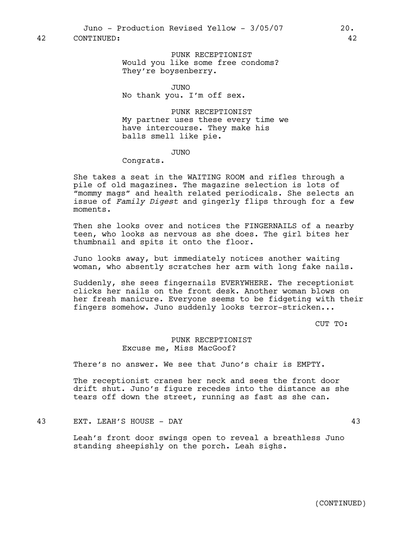42 CONTINUED: 42

PUNK RECEPTIONIST Would you like some free condoms? They're boysenberry.

JUNO

No thank you. I'm off sex.

PUNK RECEPTIONIST My partner uses these every time we have intercourse. They make his balls smell like pie.

## JUNO

Congrats.

She takes a seat in the WAITING ROOM and rifles through a pile of old magazines. The magazine selection is lots of "mommy mags" and health related periodicals. She selects an issue of *Family Digest* and gingerly flips through for a few moments.

Then she looks over and notices the FINGERNAILS of a nearby teen, who looks as nervous as she does. The girl bites her thumbnail and spits it onto the floor.

Juno looks away, but immediately notices another waiting woman, who absently scratches her arm with long fake nails.

Suddenly, she sees fingernails EVERYWHERE. The receptionist clicks her nails on the front desk. Another woman blows on her fresh manicure. Everyone seems to be fidgeting with their fingers somehow. Juno suddenly looks terror-stricken...

CUT TO:

# PUNK RECEPTIONIST Excuse me, Miss MacGoof?

There's no answer. We see that Juno's chair is EMPTY.

The receptionist cranes her neck and sees the front door drift shut. Juno's figure recedes into the distance as she tears off down the street, running as fast as she can.

## 43 EXT. LEAH'S HOUSE - DAY 43

Leah's front door swings open to reveal a breathless Juno standing sheepishly on the porch. Leah sighs.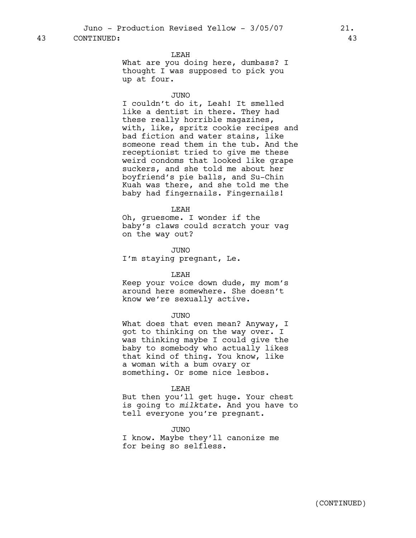Juno - Production Revised Yellow - 3/05/07 21.

# 43 CONTINUED: 43

LEAH

What are you doing here, dumbass? I thought I was supposed to pick you up at four.

## JUNO

I couldn't do it, Leah! It smelled like a dentist in there. They had these really horrible magazines, with, like, spritz cookie recipes and bad fiction and water stains, like someone read them in the tub. And the receptionist tried to give me these weird condoms that looked like grape suckers, and she told me about her boyfriend's pie balls, and Su-Chin Kuah was there, and she told me the baby had fingernails. Fingernails!

#### LEAH

Oh, gruesome. I wonder if the baby's claws could scratch your vag on the way out?

JUNO I'm staying pregnant, Le.

#### LEAH

Keep your voice down dude, my mom's around here somewhere. She doesn't know we're sexually active.

#### JUNO

What does that even mean? Anyway, I got to thinking on the way over. I was thinking maybe I could give the baby to somebody who actually likes that kind of thing. You know, like a woman with a bum ovary or something. Or some nice lesbos.

#### LEAH

But then you'll get huge. Your chest is going to *milktate*. And you have to tell everyone you're pregnant.

JUNO

I know. Maybe they'll canonize me for being so selfless.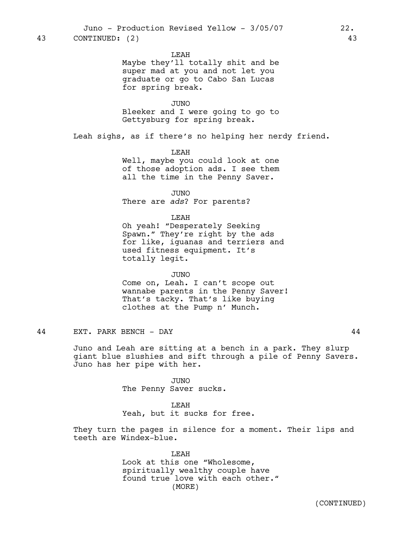LEAH

Maybe they'll totally shit and be super mad at you and not let you graduate or go to Cabo San Lucas for spring break.

JUNO Bleeker and I were going to go to Gettysburg for spring break.

Leah sighs, as if there's no helping her nerdy friend.

LEAH Well, maybe you could look at one of those adoption ads. I see them all the time in the Penny Saver.

JUNO There are *ads*? For parents?

LEAH

Oh yeah! "Desperately Seeking Spawn." They're right by the ads for like, iguanas and terriers and used fitness equipment. It's totally legit.

#### JUNO

Come on, Leah. I can't scope out wannabe parents in the Penny Saver! That's tacky. That's like buying clothes at the Pump n' Munch.

44 EXT. PARK BENCH - DAY 44

Juno and Leah are sitting at a bench in a park. They slurp giant blue slushies and sift through a pile of Penny Savers. Juno has her pipe with her.

> JUNO The Penny Saver sucks.

LEAH Yeah, but it sucks for free.

They turn the pages in silence for a moment. Their lips and teeth are Windex-blue.

> LEAH Look at this one "Wholesome, spiritually wealthy couple have found true love with each other." (MORE)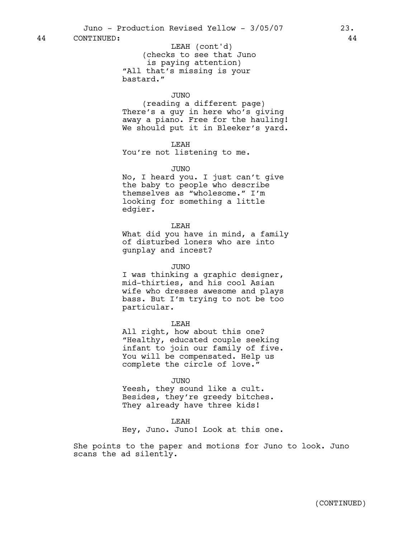(checks to see that Juno is paying attention) "All that's missing is your bastard." LEAH (cont'd)

## JUNO

(reading a different page) There's a guy in here who's giving away a piano. Free for the hauling! We should put it in Bleeker's yard.

LEAH

You're not listening to me.

## JUNO

No, I heard you. I just can't give the baby to people who describe themselves as "wholesome." I'm looking for something a little edgier.

LEAH

What did you have in mind, a family of disturbed loners who are into gunplay and incest?

JUNO

I was thinking a graphic designer, mid-thirties, and his cool Asian wife who dresses awesome and plays bass. But I'm trying to not be too particular.

LEAH

All right, how about this one? "Healthy, educated couple seeking infant to join our family of five. You will be compensated. Help us complete the circle of love."

#### JUNO

Yeesh, they sound like a cult. Besides, they're greedy bitches. They already have three kids!

# LEAH

Hey, Juno. Juno! Look at this one.

She points to the paper and motions for Juno to look. Juno scans the ad silently.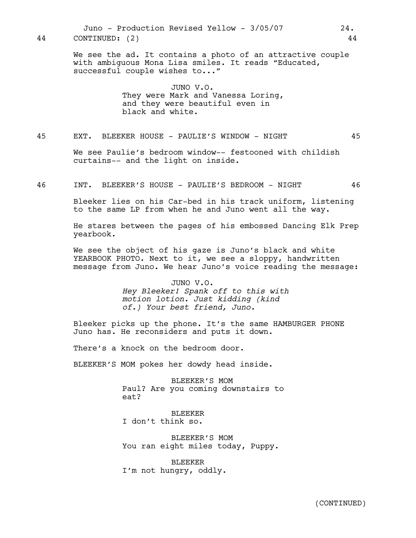Juno - Production Revised Yellow - 3/05/07 24. 44 CONTINUED: (2) 44

> We see the ad. It contains a photo of an attractive couple with ambiguous Mona Lisa smiles. It reads "Educated, successful couple wishes to..."

> > JUNO V.O. They were Mark and Vanessa Loring, and they were beautiful even in black and white.

# 45 EXT. BLEEKER HOUSE - PAULIE'S WINDOW - NIGHT 45

We see Paulie's bedroom window-- festooned with childish curtains-- and the light on inside.

46 INT. BLEEKER'S HOUSE - PAULIE'S BEDROOM - NIGHT 46

Bleeker lies on his Car-bed in his track uniform, listening to the same LP from when he and Juno went all the way.

He stares between the pages of his embossed Dancing Elk Prep yearbook.

We see the object of his gaze is Juno's black and white YEARBOOK PHOTO. Next to it, we see a sloppy, handwritten message from Juno. We hear Juno's voice reading the message:

> JUNO V.O. *Hey Bleeker! Spank off to this with motion lotion. Just kidding (kind of.) Your best friend, Juno.*

Bleeker picks up the phone. It's the same HAMBURGER PHONE Juno has. He reconsiders and puts it down.

There's a knock on the bedroom door.

BLEEKER'S MOM pokes her dowdy head inside.

BLEEKER'S MOM Paul? Are you coming downstairs to eat?

**BLEEKER** I don't think so.

BLEEKER'S MOM You ran eight miles today, Puppy.

BLEEKER I'm not hungry, oddly.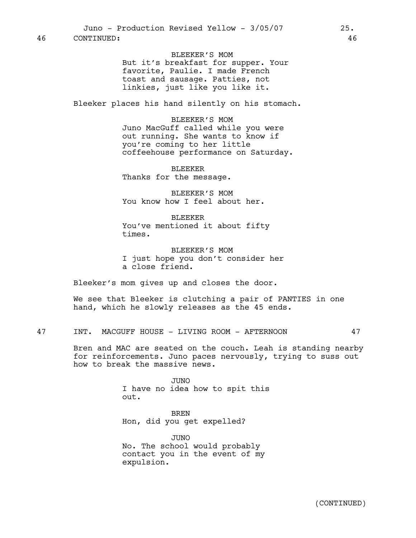BLEEKER'S MOM But it's breakfast for supper. Your favorite, Paulie. I made French toast and sausage. Patties, not linkies, just like you like it.

Bleeker places his hand silently on his stomach.

BLEEKER'S MOM Juno MacGuff called while you were out running. She wants to know if you're coming to her little coffeehouse performance on Saturday.

BLEEKER Thanks for the message.

BLEEKER'S MOM You know how I feel about her.

BLEEKER You've mentioned it about fifty times.

BLEEKER'S MOM I just hope you don't consider her a close friend.

Bleeker's mom gives up and closes the door.

We see that Bleeker is clutching a pair of PANTIES in one hand, which he slowly releases as the 45 ends.

47 INT. MACGUFF HOUSE - LIVING ROOM - AFTERNOON 47

Bren and MAC are seated on the couch. Leah is standing nearby for reinforcements. Juno paces nervously, trying to suss out how to break the massive news.

> JUNO I have no idea how to spit this out.

BREN Hon, did you get expelled?

JUNO No. The school would probably contact you in the event of my expulsion.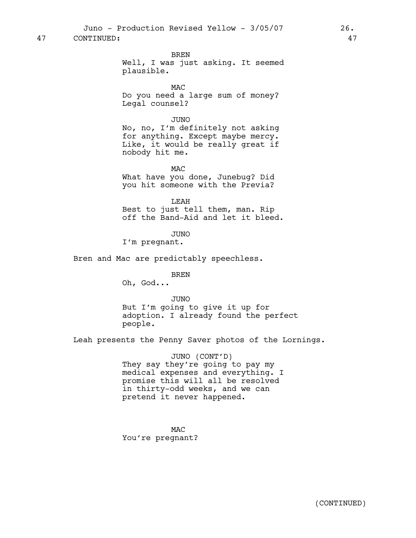Juno - Production Revised Yellow - 3/05/07 26.

# 47 CONTINUED: 47

BREN

Well, I was just asking. It seemed plausible.

MAC Do you need a large sum of money? Legal counsel?

JUNO

No, no, I'm definitely not asking for anything. Except maybe mercy. Like, it would be really great if nobody hit me.

MAC What have you done, Junebug? Did you hit someone with the Previa?

LEAH Best to just tell them, man. Rip off the Band-Aid and let it bleed.

JUNO

I'm pregnant.

Bren and Mac are predictably speechless.

**BREN** 

Oh, God...

JUNO

But I'm going to give it up for adoption. I already found the perfect people.

Leah presents the Penny Saver photos of the Lornings.

JUNO (CONT'D) They say they're going to pay my medical expenses and everything. I promise this will all be resolved in thirty-odd weeks, and we can pretend it never happened.

MAC You're pregnant?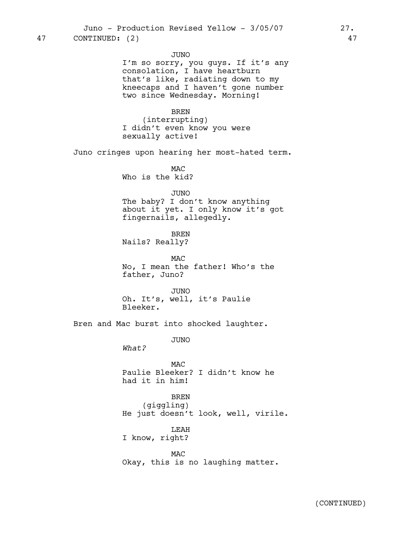JUNO

I'm so sorry, you guys. If it's any consolation, I have heartburn that's like, radiating down to my kneecaps and I haven't gone number two since Wednesday. Morning!

BREN

(interrupting) I didn't even know you were sexually active!

Juno cringes upon hearing her most-hated term.

MAC Who is the kid?

JUNO

The baby? I don't know anything about it yet. I only know it's got fingernails, allegedly.

BREN Nails? Really?

MAC No, I mean the father! Who's the father, Juno?

JUNO Oh. It's, well, it's Paulie Bleeker.

Bren and Mac burst into shocked laughter.

JUNO

*What?*

MAC Paulie Bleeker? I didn't know he had it in him!

BREN (giggling) He just doesn't look, well, virile.

LEAH I know, right?

MAC Okay, this is no laughing matter.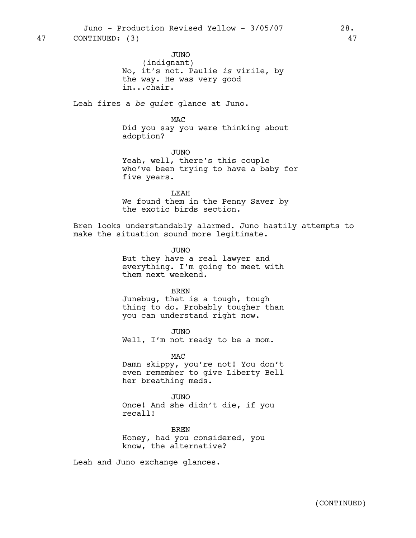JUNO (indignant) No, it's not. Paulie *is* virile, by the way. He was very good in...chair.

Leah fires a *be quiet* glance at Juno.

MAC

Did you say you were thinking about adoption?

JUNO Yeah, well, there's this couple who've been trying to have a baby for five years.

LEAH We found them in the Penny Saver by the exotic birds section.

Bren looks understandably alarmed. Juno hastily attempts to make the situation sound more legitimate.

> JUNO But they have a real lawyer and everything. I'm going to meet with them next weekend.

> > **BREN**

Junebug, that is a tough, tough thing to do. Probably tougher than you can understand right now.

JUNO Well, I'm not ready to be a mom.

MAC

Damn skippy, you're not! You don't even remember to give Liberty Bell her breathing meds.

JUNO Once! And she didn't die, if you recall!

BREN Honey, had you considered, you know, the alternative?

Leah and Juno exchange glances.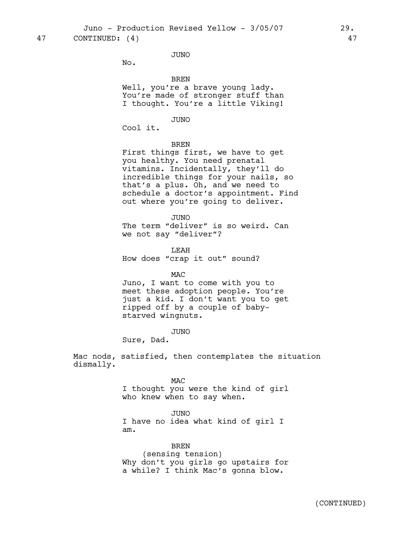Juno - Production Revised Yellow - 3/05/07 29.

47 CONTINUED: (4) 47

JUNO

No.

BREN

Well, you're a brave young lady. You're made of stronger stuff than I thought. You're a little Viking!

JUNO

Cool it.

BREN

First things first, we have to get you healthy. You need prenatal vitamins. Incidentally, they'll do incredible things for your nails, so that's a plus. Oh, and we need to schedule a doctor's appointment. Find out where you're going to deliver.

JUNO

The term "deliver" is so weird. Can we not say "deliver"?

LEAH How does "crap it out" sound?

MAC Juno, I want to come with you to meet these adoption people. You're just a kid. I don't want you to get ripped off by a couple of babystarved wingnuts.

JUNO

Sure, Dad.

Mac nods, satisfied, then contemplates the situation dismally.

## MAC

I thought you were the kind of girl who knew when to say when.

JUNO

I have no idea what kind of girl I am.

BREN (sensing tension) Why don't you girls go upstairs for a while? I think Mac's gonna blow.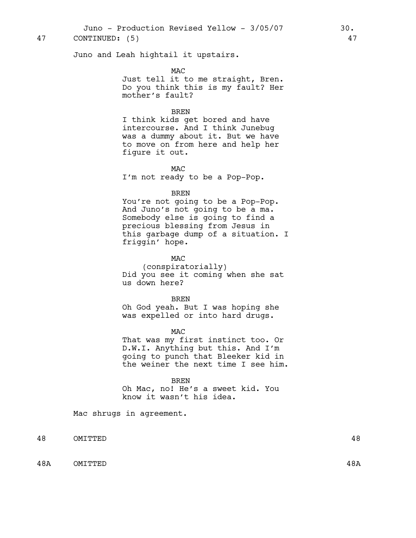Juno - Production Revised Yellow - 3/05/07 30.

# 47 CONTINUED: (5) 47

Juno and Leah hightail it upstairs.

MAC

Just tell it to me straight, Bren. Do you think this is my fault? Her mother's fault?

# BREN

I think kids get bored and have intercourse. And I think Junebug was a dummy about it. But we have to move on from here and help her figure it out.

MAC I'm not ready to be a Pop-Pop.

## BREN

You're not going to be a Pop-Pop. And Juno's not going to be a ma. Somebody else is going to find a precious blessing from Jesus in this garbage dump of a situation. I friggin' hope.

MAC

(conspiratorially) Did you see it coming when she sat us down here?

BREN

Oh God yeah. But I was hoping she was expelled or into hard drugs.

## MAC

That was my first instinct too. Or D.W.I. Anything but this. And I'm going to punch that Bleeker kid in the weiner the next time I see him.

## **BREN**

Oh Mac, no! He's a sweet kid. You know it wasn't his idea.

Mac shrugs in agreement.

48 OMITTED 48

48A OMITTED 48A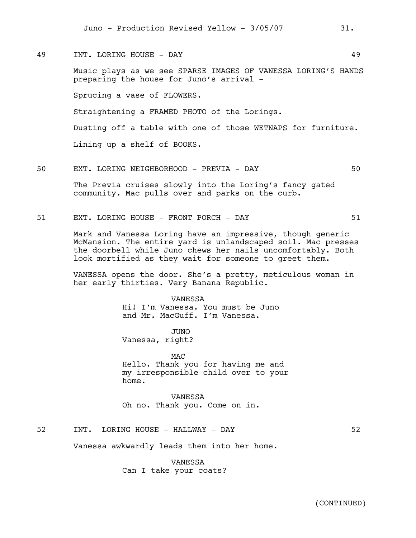49 INT. LORING HOUSE - DAY 49

Music plays as we see SPARSE IMAGES OF VANESSA LORING'S HANDS preparing the house for Juno's arrival -

Sprucing a vase of FLOWERS.

Straightening a FRAMED PHOTO of the Lorings.

Dusting off a table with one of those WETNAPS for furniture.

Lining up a shelf of BOOKS.

50 EXT. LORING NEIGHBORHOOD - PREVIA - DAY 50

The Previa cruises slowly into the Loring's fancy gated community. Mac pulls over and parks on the curb.

51 EXT. LORING HOUSE - FRONT PORCH - DAY 51

Mark and Vanessa Loring have an impressive, though generic McMansion. The entire yard is unlandscaped soil. Mac presses the doorbell while Juno chews her nails uncomfortably. Both look mortified as they wait for someone to greet them.

VANESSA opens the door. She's a pretty, meticulous woman in her early thirties. Very Banana Republic.

VANESSA

Hi! I'm Vanessa. You must be Juno and Mr. MacGuff. I'm Vanessa.

JUNO Vanessa, right?

M<sub>AC</sub> Hello. Thank you for having me and my irresponsible child over to your home.

VANESSA Oh no. Thank you. Come on in.

52 INT. LORING HOUSE - HALLWAY - DAY 52

Vanessa awkwardly leads them into her home.

VANESSA Can I take your coats?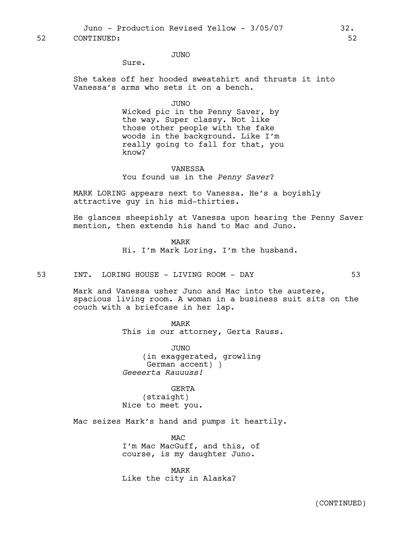52 CONTINUED: 52

JUNO

Sure.

She takes off her hooded sweatshirt and thrusts it into Vanessa's arms who sets it on a bench.

JUNO

Wicked pic in the Penny Saver, by the way. Super classy. Not like those other people with the fake woods in the background. Like I'm really going to fall for that, you know?

# VANESSA You found us in the *Penny Saver*?

MARK LORING appears next to Vanessa. He's a boyishly attractive guy in his mid-thirties.

He glances sheepishly at Vanessa upon hearing the Penny Saver mention, then extends his hand to Mac and Juno.

> MARK Hi. I'm Mark Loring. I'm the husband.

53 INT. LORING HOUSE - LIVING ROOM - DAY 53

Mark and Vanessa usher Juno and Mac into the austere, spacious living room. A woman in a business suit sits on the couch with a briefcase in her lap.

> MARK This is our attorney, Gerta Rauss.

JUNO (in exaggerated, growling German accent) ) *Geeeerta Rauuuss!*

GERTA

(straight)

Nice to meet you.

Mac seizes Mark's hand and pumps it heartily.

MAC I'm Mac MacGuff, and this, of course, is my daughter Juno.

MARK Like the city in Alaska?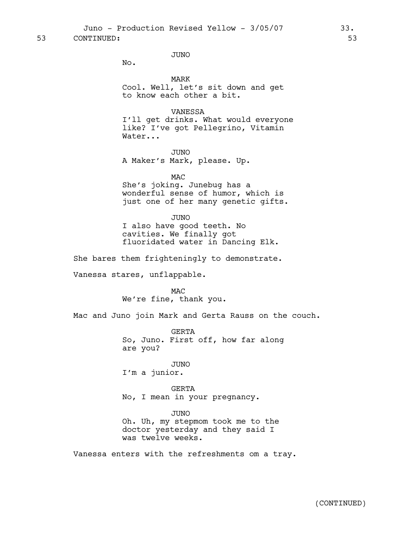53 CONTINUED: 53

JUNO

No.

MARK Cool. Well, let's sit down and get to know each other a bit.

# VANESSA

I'll get drinks. What would everyone like? I've got Pellegrino, Vitamin Water...

JUNO A Maker's Mark, please. Up.

MAC

She's joking. Junebug has a wonderful sense of humor, which is just one of her many genetic gifts.

JUNO I also have good teeth. No cavities. We finally got fluoridated water in Dancing Elk.

She bares them frighteningly to demonstrate.

Vanessa stares, unflappable.

**MAC** We're fine, thank you.

Mac and Juno join Mark and Gerta Rauss on the couch.

GERTA So, Juno. First off, how far along are you?

JUNO I'm a junior.

GERTA No, I mean in your pregnancy.

JUNO

Oh. Uh, my stepmom took me to the doctor yesterday and they said I was twelve weeks.

Vanessa enters with the refreshments om a tray.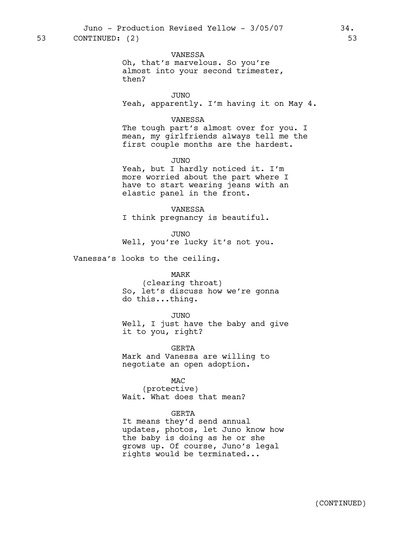VANESSA Oh, that's marvelous. So you're almost into your second trimester, then?

JUNO Yeah, apparently. I'm having it on May 4.

## VANESSA

The tough part's almost over for you. I mean, my girlfriends always tell me the first couple months are the hardest.

JUNO

Yeah, but I hardly noticed it. I'm more worried about the part where I have to start wearing jeans with an elastic panel in the front.

VANESSA I think pregnancy is beautiful.

JUNO Well, you're lucky it's not you.

Vanessa's looks to the ceiling.

#### MARK

(clearing throat) So, let's discuss how we're gonna do this...thing.

JUNO Well, I just have the baby and give it to you, right?

GERTA Mark and Vanessa are willing to negotiate an open adoption.

MAC (protective) Wait. What does that mean?

## GERTA

It means they'd send annual updates, photos, let Juno know how the baby is doing as he or she grows up. Of course, Juno's legal rights would be terminated...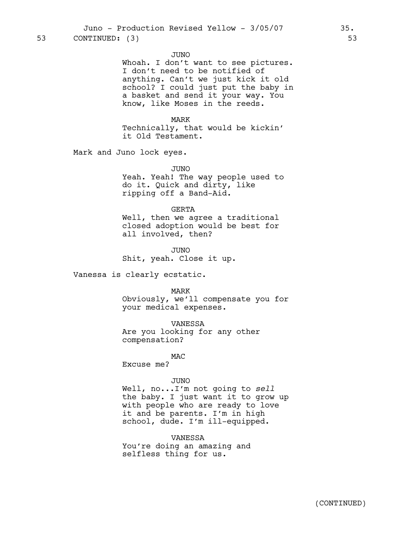#### JUNO

Whoah. I don't want to see pictures. I don't need to be notified of anything. Can't we just kick it old school? I could just put the baby in a basket and send it your way. You know, like Moses in the reeds.

# MARK

Technically, that would be kickin' it Old Testament.

Mark and Juno lock eyes.

#### JUNO

Yeah. Yeah! The way people used to do it. Quick and dirty, like ripping off a Band-Aid.

#### GERTA

Well, then we agree a traditional closed adoption would be best for all involved, then?

JUNO Shit, yeah. Close it up.

Vanessa is clearly ecstatic.

#### MARK

Obviously, we'll compensate you for your medical expenses.

VANESSA

Are you looking for any other compensation?

MAC

Excuse me?

#### JUNO

Well, no...I'm not going to *sell* the baby. I just want it to grow up with people who are ready to love it and be parents. I'm in high school, dude. I'm ill-equipped.

## VANESSA

You're doing an amazing and selfless thing for us.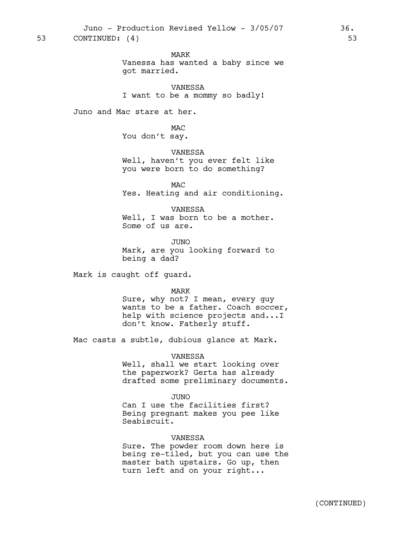MARK

Vanessa has wanted a baby since we got married.

VANESSA I want to be a mommy so badly!

Juno and Mac stare at her.

MAC You don't say.

VANESSA Well, haven't you ever felt like you were born to do something?

MAC Yes. Heating and air conditioning.

VANESSA Well, I was born to be a mother. Some of us are.

JUNO Mark, are you looking forward to being a dad?

Mark is caught off guard.

MARK

Sure, why not? I mean, every guy wants to be a father. Coach soccer, help with science projects and...I don't know. Fatherly stuff.

Mac casts a subtle, dubious glance at Mark.

VANESSA

Well, shall we start looking over the paperwork? Gerta has already drafted some preliminary documents.

JUNO Can I use the facilities first? Being pregnant makes you pee like

VANESSA

Seabiscuit.

Sure. The powder room down here is being re-tiled, but you can use the master bath upstairs. Go up, then turn left and on your right...

(CONTINUED)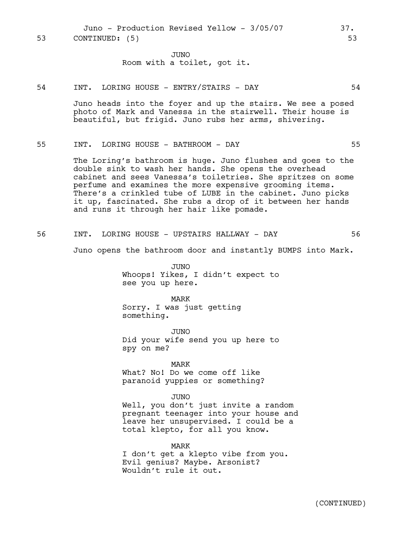Juno - Production Revised Yellow - 3/05/07 37. 53 CONTINUED: (5) 53

> JUNO Room with a toilet, got it.

#### 54 INT. LORING HOUSE - ENTRY/STAIRS - DAY 54

Juno heads into the foyer and up the stairs. We see a posed photo of Mark and Vanessa in the stairwell. Their house is beautiful, but frigid. Juno rubs her arms, shivering.

## 55 INT. LORING HOUSE - BATHROOM - DAY 55

The Loring's bathroom is huge. Juno flushes and goes to the double sink to wash her hands. She opens the overhead cabinet and sees Vanessa's toiletries. She spritzes on some perfume and examines the more expensive grooming items. There's a crinkled tube of LUBE in the cabinet. Juno picks it up, fascinated. She rubs a drop of it between her hands and runs it through her hair like pomade.

56 INT. LORING HOUSE - UPSTAIRS HALLWAY - DAY 56

Juno opens the bathroom door and instantly BUMPS into Mark.

JUNO Whoops! Yikes, I didn't expect to see you up here.

MARK Sorry. I was just getting something.

JUNO Did your wife send you up here to spy on me?

MARK

What? No! Do we come off like paranoid yuppies or something?

JUNO

Well, you don't just invite a random pregnant teenager into your house and leave her unsupervised. I could be a total klepto, for all you know.

MARK I don't get a klepto vibe from you. Evil genius? Maybe. Arsonist? Wouldn't rule it out.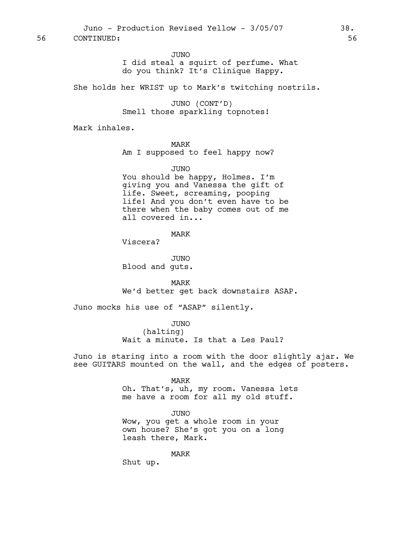JUNO

# I did steal a squirt of perfume. What do you think? It's Clinique Happy.

She holds her WRIST up to Mark's twitching nostrils.

JUNO (CONT'D) Smell those sparkling topnotes!

Mark inhales.

#### MARK

Am I supposed to feel happy now?

#### JUNO

You should be happy, Holmes. I'm giving you and Vanessa the gift of life. Sweet, screaming, pooping life! And you don't even have to be there when the baby comes out of me all covered in...

MARK

Viscera?

JUNO Blood and guts.

MARK We'd better get back downstairs ASAP.

Juno mocks his use of "ASAP" silently.

JUNO (halting) Wait a minute. Is that a Les Paul?

Juno is staring into a room with the door slightly ajar. We see GUITARS mounted on the wall, and the edges of posters.

#### MARK

Oh. That's, uh, my room. Vanessa lets me have a room for all my old stuff.

#### JUNO

Wow, you get a whole room in your own house? She's got you on a long leash there, Mark.

MARK

Shut up.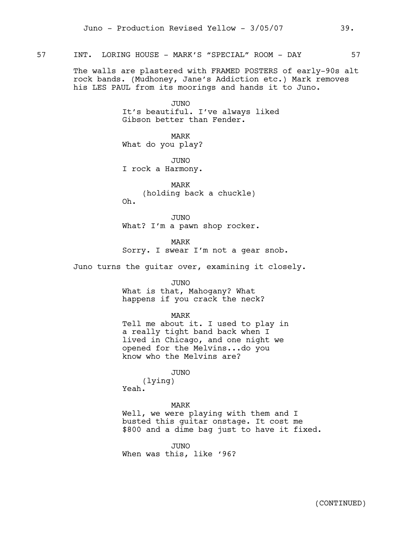# 57 INT. LORING HOUSE - MARK'S "SPECIAL" ROOM - DAY 57

The walls are plastered with FRAMED POSTERS of early-90s alt rock bands. (Mudhoney, Jane's Addiction etc.) Mark removes his LES PAUL from its moorings and hands it to Juno.

> JUNO It's beautiful. I've always liked Gibson better than Fender.

MARK What do you play?

JUNO I rock a Harmony.

MARK (holding back a chuckle) Oh.

JUNO What? I'm a pawn shop rocker.

MARK Sorry. I swear I'm not a gear snob.

Juno turns the guitar over, examining it closely.

JUNO What is that, Mahogany? What happens if you crack the neck?

MARK

Tell me about it. I used to play in a really tight band back when I lived in Chicago, and one night we opened for the Melvins...do you know who the Melvins are?

JUNO

(lying) Yeah.

#### MARK

Well, we were playing with them and I busted this guitar onstage. It cost me \$800 and a dime bag just to have it fixed.

JUNO When was this, like '96?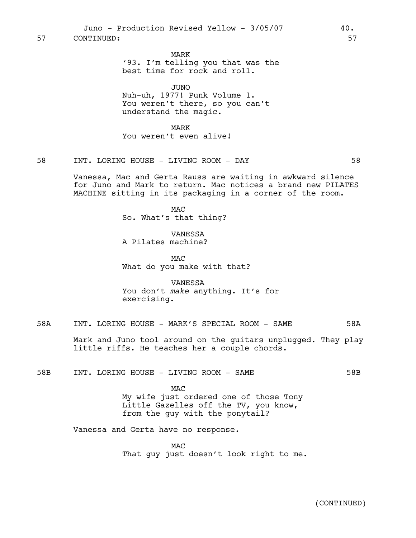MARK

'93. I'm telling you that was the best time for rock and roll.

JUNO

Nuh-uh, 1977! Punk Volume 1. You weren't there, so you can't understand the magic.

MARK You weren't even alive!

58 INT. LORING HOUSE - LIVING ROOM - DAY 58

Vanessa, Mac and Gerta Rauss are waiting in awkward silence for Juno and Mark to return. Mac notices a brand new PILATES MACHINE sitting in its packaging in a corner of the room.

> MAC So. What's that thing?

VANESSA A Pilates machine?

MAC What do you make with that?

VANESSA You don't *make* anything. It's for exercising.

58A INT. LORING HOUSE - MARK'S SPECIAL ROOM - SAME 58A

Mark and Juno tool around on the guitars unplugged. They play little riffs. He teaches her a couple chords.

58B INT. LORING HOUSE - LIVING ROOM - SAME 58B

MAC My wife just ordered one of those Tony Little Gazelles off the TV, you know, from the guy with the ponytail?

Vanessa and Gerta have no response.

MAC That guy just doesn't look right to me.

(CONTINUED)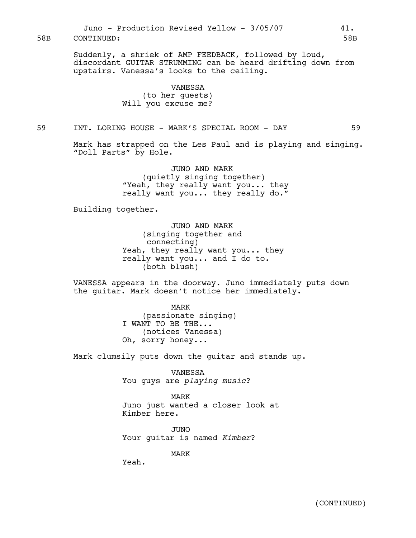Suddenly, a shriek of AMP FEEDBACK, followed by loud, discordant GUITAR STRUMMING can be heard drifting down from upstairs. Vanessa's looks to the ceiling.

#### VANESSA

(to her guests) Will you excuse me?

# 59 INT. LORING HOUSE - MARK'S SPECIAL ROOM - DAY 59

Mark has strapped on the Les Paul and is playing and singing. "Doll Parts" by Hole.

> JUNO AND MARK (quietly singing together) "Yeah, they really want you... they really want you... they really do."

Building together.

JUNO AND MARK (singing together and connecting) Yeah, they really want you... they really want you... and I do to. (both blush)

VANESSA appears in the doorway. Juno immediately puts down the guitar. Mark doesn't notice her immediately.

> MARK (passionate singing) I WANT TO BE THE... (notices Vanessa) Oh, sorry honey...

Mark clumsily puts down the guitar and stands up.

VANESSA You guys are *playing music*?

MARK Juno just wanted a closer look at Kimber here.

JUNO Your guitar is named *Kimber*?

MARK

Yeah.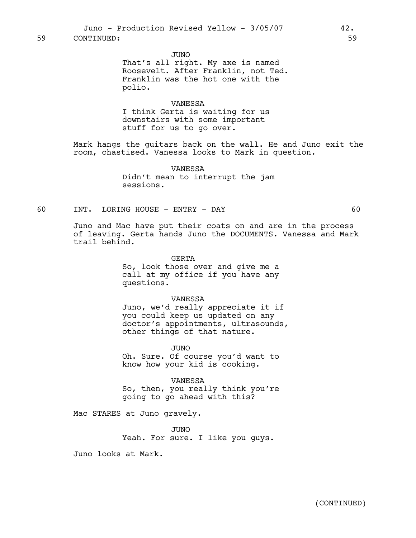JUNO

That's all right. My axe is named Roosevelt. After Franklin, not Ted. Franklin was the hot one with the polio.

#### VANESSA

I think Gerta is waiting for us downstairs with some important stuff for us to go over.

Mark hangs the guitars back on the wall. He and Juno exit the room, chastised. Vanessa looks to Mark in question.

> VANESSA Didn't mean to interrupt the jam sessions.

## 60 INT. LORING HOUSE - ENTRY - DAY 60

Juno and Mac have put their coats on and are in the process of leaving. Gerta hands Juno the DOCUMENTS. Vanessa and Mark trail behind.

GERTA

So, look those over and give me a call at my office if you have any questions.

VANESSA

Juno, we'd really appreciate it if you could keep us updated on any doctor's appointments, ultrasounds, other things of that nature.

JUNO

Oh. Sure. Of course you'd want to know how your kid is cooking.

VANESSA So, then, you really think you're going to go ahead with this?

Mac STARES at Juno gravely.

JUNO Yeah. For sure. I like you guys.

Juno looks at Mark.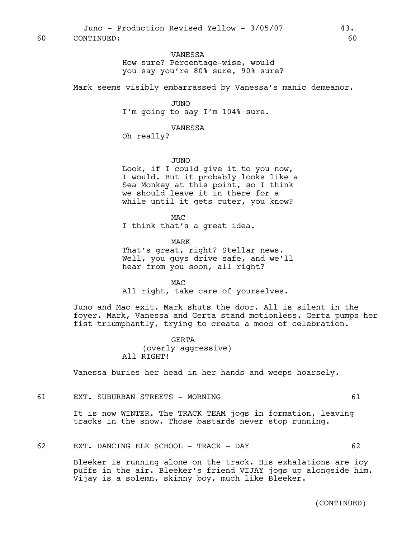VANESSA How sure? Percentage-wise, would you say you're 80% sure, 90% sure?

Mark seems visibly embarrassed by Vanessa's manic demeanor.

JUNO I'm going to say I'm 104% sure.

VANESSA

Oh really?

JUNO

Look, if I could give it to you now, I would. But it probably looks like a Sea Monkey at this point, so I think we should leave it in there for a while until it gets cuter, you know?

**MAC** 

I think that's a great idea.

MARK

That's great, right? Stellar news. Well, you guys drive safe, and we'll hear from you soon, all right?

MAC

All right, take care of yourselves.

Juno and Mac exit. Mark shuts the door. All is silent in the foyer. Mark, Vanessa and Gerta stand motionless. Gerta pumps her fist triumphantly, trying to create a mood of celebration.

> GERTA (overly aggressive) All RIGHT!

Vanessa buries her head in her hands and weeps hoarsely.

61 EXT. SUBURBAN STREETS - MORNING 61

It is now WINTER. The TRACK TEAM jogs in formation, leaving tracks in the snow. Those bastards never stop running.

62 EXT. DANCING ELK SCHOOL - TRACK - DAY 62

Bleeker is running alone on the track. His exhalations are icy puffs in the air. Bleeker's friend VIJAY jogs up alongside him. Vijay is a solemn, skinny boy, much like Bleeker.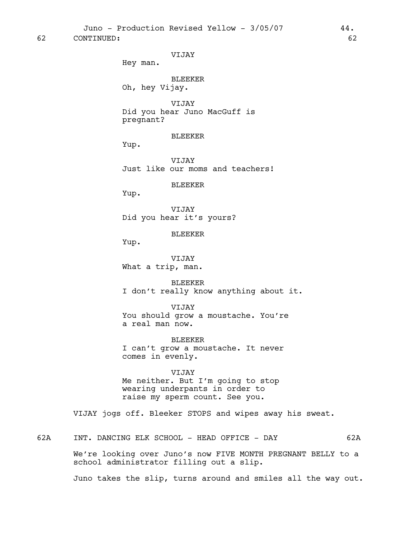62 CONTINUED: 62

VIJAY

Hey man.

BLEEKER Oh, hey Vijay.

VIJAY Did you hear Juno MacGuff is pregnant?

BLEEKER

Yup.

VIJAY Just like our moms and teachers!

BLEEKER

Yup.

VIJAY Did you hear it's yours?

BLEEKER

Yup.

VIJAY What a trip, man.

BLEEKER I don't really know anything about it.

VIJAY You should grow a moustache. You're a real man now.

BLEEKER I can't grow a moustache. It never comes in evenly.

VIJAY Me neither. But I'm going to stop wearing underpants in order to raise my sperm count. See you.

VIJAY jogs off. Bleeker STOPS and wipes away his sweat.

62A INT. DANCING ELK SCHOOL - HEAD OFFICE - DAY 62A

We're looking over Juno's now FIVE MONTH PREGNANT BELLY to a school administrator filling out a slip.

Juno takes the slip, turns around and smiles all the way out.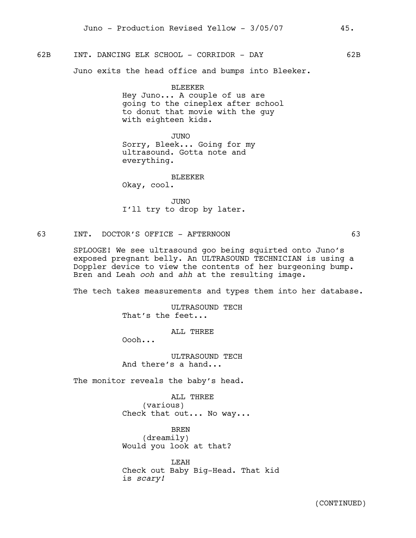## 62B INT. DANCING ELK SCHOOL - CORRIDOR - DAY 62B

Juno exits the head office and bumps into Bleeker.

#### BLEEKER

Hey Juno... A couple of us are going to the cineplex after school to donut that movie with the guy with eighteen kids.

JUNO Sorry, Bleek... Going for my ultrasound. Gotta note and everything.

BLEEKER

Okay, cool.

JUNO I'll try to drop by later.

#### 63 INT. DOCTOR'S OFFICE - AFTERNOON 63

SPLOOGE! We see ultrasound goo being squirted onto Juno's exposed pregnant belly. An ULTRASOUND TECHNICIAN is using a Doppler device to view the contents of her burgeoning bump. Bren and Leah *ooh* and *ahh* at the resulting image.

The tech takes measurements and types them into her database.

ULTRASOUND TECH That's the feet...

ALL THREE

Oooh...

ULTRASOUND TECH And there's a hand...

The monitor reveals the baby's head.

ALL THREE (various) Check that out... No way...

BREN (dreamily) Would you look at that?

LEAH Check out Baby Big-Head. That kid is *scary!*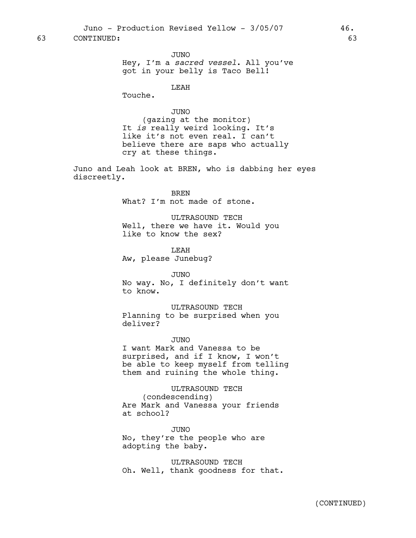63 CONTINUED: 63

JUNO Hey, I'm a *sacred vessel*. All you've got in your belly is Taco Bell!

LEAH

Touche.

JUNO

(gazing at the monitor) It *is* really weird looking. It's like it's not even real. I can't believe there are saps who actually cry at these things.

Juno and Leah look at BREN, who is dabbing her eyes discreetly.

> BREN What? I'm not made of stone.

ULTRASOUND TECH Well, there we have it. Would you like to know the sex?

LEAH Aw, please Junebug?

JUNO No way. No, I definitely don't want to know.

ULTRASOUND TECH Planning to be surprised when you deliver?

JUNO I want Mark and Vanessa to be surprised, and if I know, I won't be able to keep myself from telling them and ruining the whole thing.

ULTRASOUND TECH (condescending) Are Mark and Vanessa your friends at school?

JUNO No, they're the people who are adopting the baby.

ULTRASOUND TECH Oh. Well, thank goodness for that.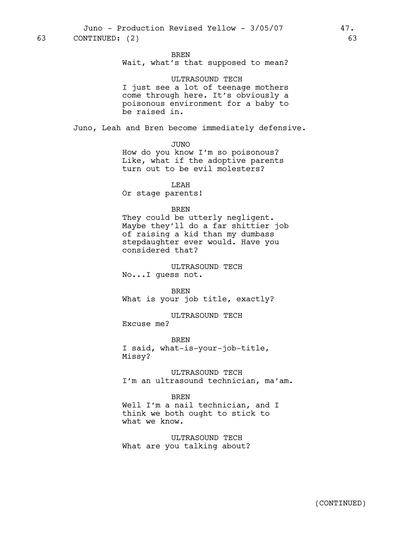Juno - Production Revised Yellow - 3/05/07 47. 63 CONTINUED: (2) 63

BREN

Wait, what's that supposed to mean?

#### ULTRASOUND TECH

I just see a lot of teenage mothers come through here. It's obviously a poisonous environment for a baby to be raised in.

Juno, Leah and Bren become immediately defensive.

JUNO

How do you know I'm so poisonous? Like, what if the adoptive parents turn out to be evil molesters?

LEAH

Or stage parents!

#### BREN

They could be utterly negligent. Maybe they'll do a far shittier job of raising a kid than my dumbass stepdaughter ever would. Have you considered that?

ULTRASOUND TECH No...I guess not.

BREN What is your job title, exactly?

ULTRASOUND TECH

Excuse me?

BREN I said, what-is-your-job-title, Missy?

ULTRASOUND TECH I'm an ultrasound technician, ma'am.

BREN Well I'm a nail technician, and I think we both ought to stick to what we know.

ULTRASOUND TECH What are you talking about?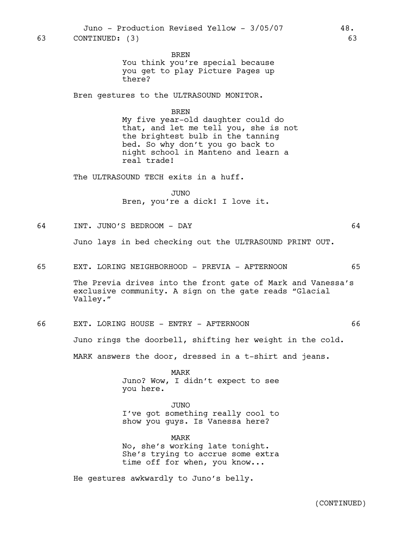BREN

You think you're special because you get to play Picture Pages up there?

Bren gestures to the ULTRASOUND MONITOR.

#### BREN

My five year-old daughter could do that, and let me tell you, she is not the brightest bulb in the tanning bed. So why don't you go back to night school in Manteno and learn a real trade!

The ULTRASOUND TECH exits in a huff.

JUNO Bren, you're a dick! I love it.

64 INT. JUNO'S BEDROOM - DAY 64

Juno lays in bed checking out the ULTRASOUND PRINT OUT.

65 EXT. LORING NEIGHBORHOOD - PREVIA - AFTERNOON 65

The Previa drives into the front gate of Mark and Vanessa's exclusive community. A sign on the gate reads "Glacial Valley."

66 EXT. LORING HOUSE - ENTRY - AFTERNOON 66

Juno rings the doorbell, shifting her weight in the cold.

MARK answers the door, dressed in a t-shirt and jeans.

MARK Juno? Wow, I didn't expect to see you here.

JUNO I've got something really cool to show you guys. Is Vanessa here?

MARK No, she's working late tonight. She's trying to accrue some extra time off for when, you know...

He gestures awkwardly to Juno's belly.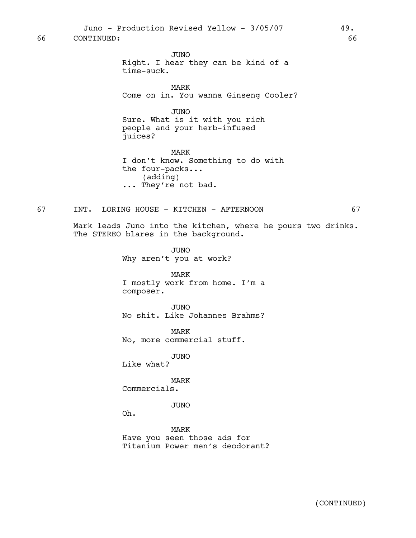66 CONTINUED: 66

JUNO Right. I hear they can be kind of a time-suck.

MARK Come on in. You wanna Ginseng Cooler?

JUNO Sure. What is it with you rich people and your herb-infused juices?

MARK I don't know. Something to do with the four-packs... (adding) ... They're not bad.

## 67 INT. LORING HOUSE - KITCHEN - AFTERNOON 67

Mark leads Juno into the kitchen, where he pours two drinks. The STEREO blares in the background.

> JUNO Why aren't you at work?

MARK I mostly work from home. I'm a composer.

JUNO No shit. Like Johannes Brahms?

MARK No, more commercial stuff.

JUNO

Like what?

MARK Commercials.

JUNO

Oh.

MARK Have you seen those ads for Titanium Power men's deodorant?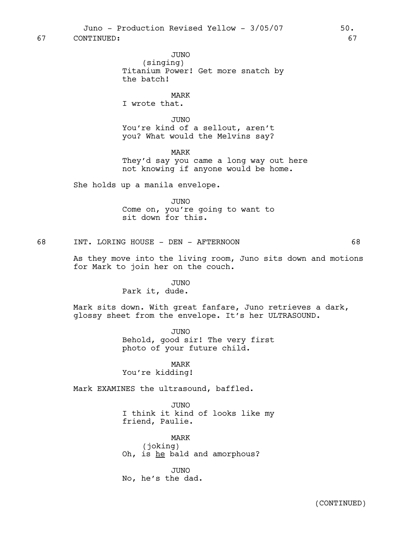67 CONTINUED: 67

JUNO (singing) Titanium Power! Get more snatch by the batch!

MARK I wrote that.

JUNO You're kind of a sellout, aren't you? What would the Melvins say?

MARK

They'd say you came a long way out here not knowing if anyone would be home.

She holds up a manila envelope.

JUNO Come on, you're going to want to sit down for this.

68 INT. LORING HOUSE - DEN - AFTERNOON 68

As they move into the living room, Juno sits down and motions for Mark to join her on the couch.

> JUNO Park it, dude.

Mark sits down. With great fanfare, Juno retrieves a dark, glossy sheet from the envelope. It's her ULTRASOUND.

> JUNO Behold, good sir! The very first photo of your future child.

MARK You're kidding!

Mark EXAMINES the ultrasound, baffled.

JUNO I think it kind of looks like my friend, Paulie.

MARK (joking) Oh, is he bald and amorphous?

JUNO No, he's the dad.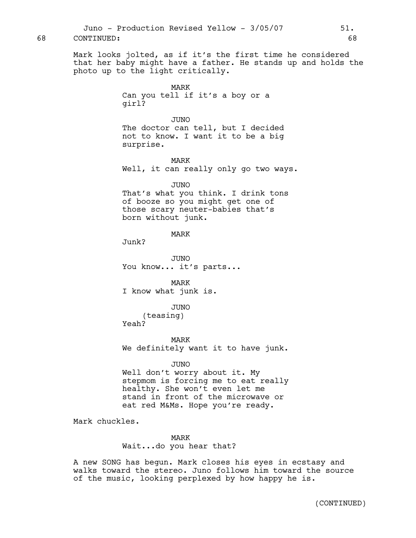Mark looks jolted, as if it's the first time he considered that her baby might have a father. He stands up and holds the photo up to the light critically.

> MARK Can you tell if it's a boy or a girl?

JUNO The doctor can tell, but I decided not to know. I want it to be a big surprise.

MARK Well, it can really only go two ways.

```
JUNO
```
That's what you think. I drink tons of booze so you might get one of those scary neuter-babies that's born without junk.

MARK

Junk?

JUNO You know... it's parts...

MARK I know what junk is.

JUNO (teasing) Yeah?

MARK We definitely want it to have junk.

JUNO Well don't worry about it. My stepmom is forcing me to eat really healthy. She won't even let me stand in front of the microwave or eat red M&Ms. Hope you're ready.

Mark chuckles.

MARK Wait...do you hear that?

A new SONG has begun. Mark closes his eyes in ecstasy and walks toward the stereo. Juno follows him toward the source of the music, looking perplexed by how happy he is.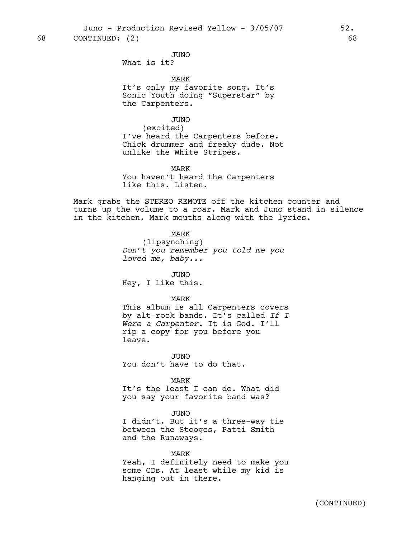Juno - Production Revised Yellow - 3/05/07 52.

68 CONTINUED: (2) 68

JUNO What is it?

MARK It's only my favorite song. It's Sonic Youth doing "Superstar" by the Carpenters.

# JUNO

(excited) I've heard the Carpenters before. Chick drummer and freaky dude. Not unlike the White Stripes.

MARK

You haven't heard the Carpenters like this. Listen.

Mark grabs the STEREO REMOTE off the kitchen counter and turns up the volume to a roar. Mark and Juno stand in silence in the kitchen. Mark mouths along with the lyrics.

MARK

(lipsynching) *Don't you remember you told me you loved me, baby...*

JUNO Hey, I like this.

## MARK

This album is all Carpenters covers by alt-rock bands. It's called *If I Were a Carpenter.* It is God. I'll rip a copy for you before you leave.

JUNO You don't have to do that.

MARK

It's the least I can do. What did you say your favorite band was?

#### JUNO

I didn't. But it's a three-way tie between the Stooges, Patti Smith and the Runaways.

## MARK

Yeah, I definitely need to make you some CDs. At least while my kid is hanging out in there.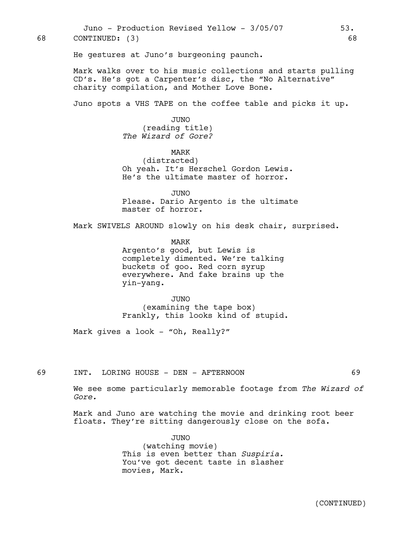Juno - Production Revised Yellow - 3/05/07 53. 68 CONTINUED: (3) 68

He gestures at Juno's burgeoning paunch.

Mark walks over to his music collections and starts pulling CD's. He's got a Carpenter's disc, the "No Alternative" charity compilation, and Mother Love Bone.

Juno spots a VHS TAPE on the coffee table and picks it up.

JUNO (reading title) *The Wizard of Gore?*

MARK (distracted) Oh yeah. It's Herschel Gordon Lewis. He's the ultimate master of horror.

JUNO Please. Dario Argento is the ultimate master of horror.

Mark SWIVELS AROUND slowly on his desk chair, surprised.

MARK Argento's good, but Lewis is completely dimented. We're talking buckets of goo. Red corn syrup everywhere. And fake brains up the yin-yang.

JUNO (examining the tape box) Frankly, this looks kind of stupid.

Mark gives a look - "Oh, Really?"

69 INT. LORING HOUSE - DEN - AFTERNOON 69

We see some particularly memorable footage from *The Wizard of Gore.*

Mark and Juno are watching the movie and drinking root beer floats. They're sitting dangerously close on the sofa.

> JUNO (watching movie) This is even better than *Suspiria.*  You've got decent taste in slasher movies, Mark.

(CONTINUED)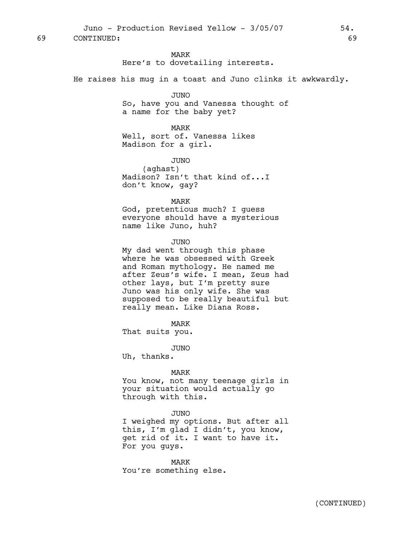Juno - Production Revised Yellow - 3/05/07 54. 69 CONTINUED: 69

#### MARK

Here's to dovetailing interests.

He raises his mug in a toast and Juno clinks it awkwardly.

#### JUNO

So, have you and Vanessa thought of a name for the baby yet?

## MARK

Well, sort of. Vanessa likes Madison for a girl.

JUNO

(aghast) Madison? Isn't that kind of...I don't know, gay?

#### MARK

God, pretentious much? I guess everyone should have a mysterious name like Juno, huh?

#### JUNO

My dad went through this phase where he was obsessed with Greek and Roman mythology. He named me after Zeus's wife. I mean, Zeus had other lays, but I'm pretty sure Juno was his only wife. She was supposed to be really beautiful but really mean. Like Diana Ross.

MARK

That suits you.

JUNO

Uh, thanks.

#### MARK

You know, not many teenage girls in your situation would actually go through with this.

#### JUNO

I weighed my options. But after all this, I'm glad I didn't, you know, get rid of it. I want to have it. For you guys.

MARK You're something else.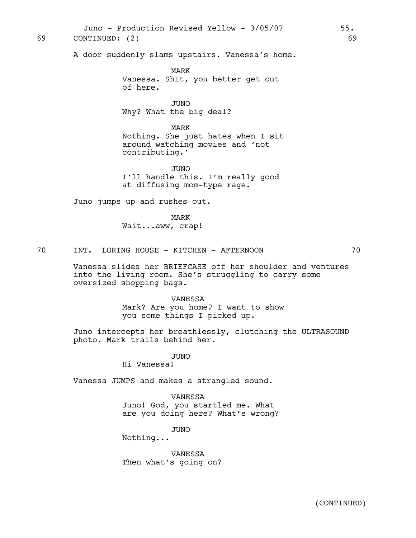Juno - Production Revised Yellow - 3/05/07 55. 69 CONTINUED: (2) 69

A door suddenly slams upstairs. Vanessa's home.

MARK Vanessa. Shit, you better get out of here.

JUNO Why? What the big deal?

MARK Nothing. She just hates when I sit around watching movies and 'not contributing.'

JUNO I'll handle this. I'm really good at diffusing mom-type rage.

Juno jumps up and rushes out.

MARK Wait...aww, crap!

70 INT. LORING HOUSE - KITCHEN - AFTERNOON 70

Vanessa slides her BRIEFCASE off her shoulder and ventures into the living room. She's struggling to carry some oversized shopping bags.

VANESSA

Mark? Are you home? I want to show you some things I picked up.

Juno intercepts her breathlessly, clutching the ULTRASOUND photo. Mark trails behind her.

JUNO

Hi Vanessa!

Vanessa JUMPS and makes a strangled sound.

VANESSA Juno! God, you startled me. What are you doing here? What's wrong?

JUNO

Nothing...

VANESSA Then what's going on?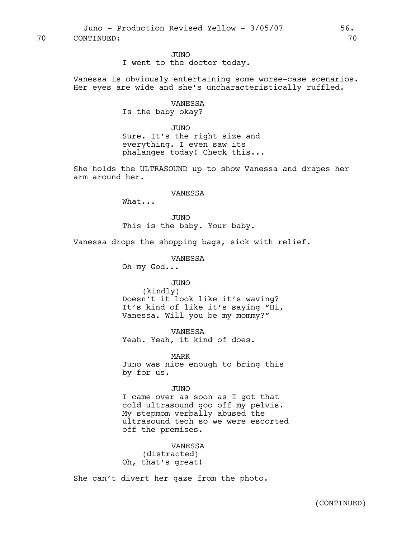70 CONTINUED: 70

JUNO I went to the doctor today.

Vanessa is obviously entertaining some worse-case scenarios. Her eyes are wide and she's uncharacteristically ruffled.

# VANESSA

Is the baby okay?

JUNO Sure. It's the right size and everything. I even saw its phalanges today! Check this...

She holds the ULTRASOUND up to show Vanessa and drapes her arm around her.

#### VANESSA

What...

JUNO This is the baby. Your baby.

Vanessa drops the shopping bags, sick with relief.

VANESSA Oh my God...

# JUNO

(kindly) Doesn't it look like it's waving? It's kind of like it's saying "Hi, Vanessa. Will you be my mommy?"

VANESSA Yeah. Yeah, it kind of does.

MARK Juno was nice enough to bring this by for us.

## JUNO

I came over as soon as I got that cold ultrasound goo off my pelvis. My stepmom verbally abused the ultrasound tech so we were escorted off the premises.

VANESSA (distracted) Oh, that's great!

She can't divert her gaze from the photo.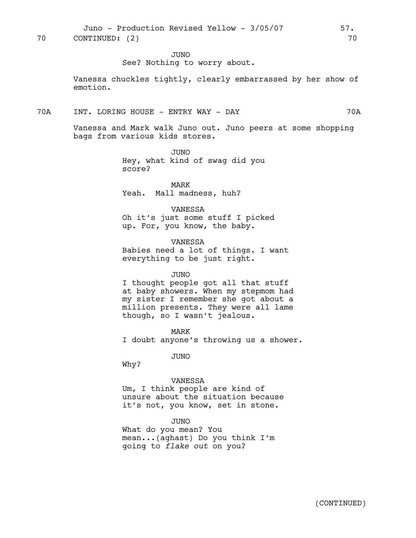JUNO

See? Nothing to worry about.

Vanessa chuckles tightly, clearly embarrassed by her show of emotion.

## 70A INT. LORING HOUSE - ENTRY WAY - DAY 70A

Vanessa and Mark walk Juno out. Juno peers at some shopping bags from various kids stores.

> JUNO Hey, what kind of swag did you score?

MARK Yeah. Mall madness, huh?

#### VANESSA

Oh it's just some stuff I picked up. For, you know, the baby.

## VANESSA

Babies need a lot of things. I want everything to be just right.

#### JUNO

I thought people got all that stuff at baby showers. When my stepmom had my sister I remember she got about a million presents. They were all lame though, so I wasn't jealous.

MARK I doubt anyone's throwing us a shower.

JUNO

Why?

## VANESSA

Um, I think people are kind of unsure about the situation because it's not, you know, set in stone.

#### JUNO

What do you mean? You mean...(aghast) Do you think I'm going to *flake out* on you?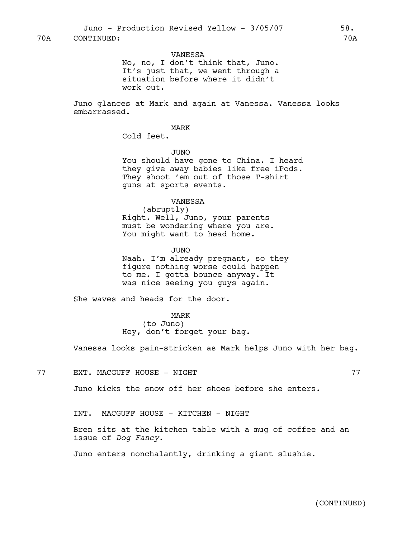VANESSA No, no, I don't think that, Juno. It's just that, we went through a situation before where it didn't work out.

Juno glances at Mark and again at Vanessa. Vanessa looks embarrassed.

MARK

Cold feet.

JUNO You should have gone to China. I heard they give away babies like free iPods. They shoot 'em out of those T-shirt guns at sports events.

VANESSA

(abruptly) Right. Well, Juno, your parents must be wondering where you are. You might want to head home.

JUNO Naah. I'm already pregnant, so they figure nothing worse could happen to me. I gotta bounce anyway. It was nice seeing you guys again.

She waves and heads for the door.

MARK (to Juno) Hey, don't forget your bag.

Vanessa looks pain-stricken as Mark helps Juno with her bag.

The Solution of the SN and the SN and the SN and the SN and the SN and the SN and the SN and the SN  $77$ 

Juno kicks the snow off her shoes before she enters.

INT. MACGUFF HOUSE - KITCHEN - NIGHT

Bren sits at the kitchen table with a mug of coffee and an issue of *Dog Fancy.*

Juno enters nonchalantly, drinking a giant slushie.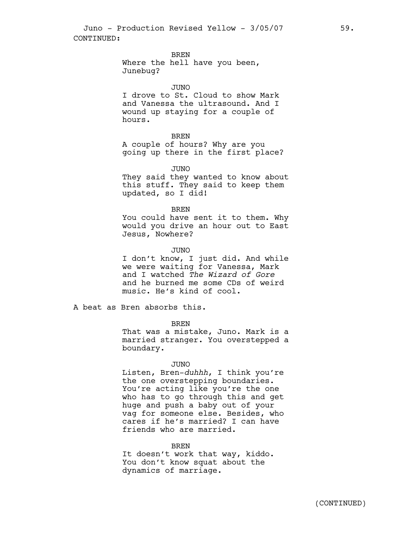BREN

Where the hell have you been, Junebug?

#### JUNO

I drove to St. Cloud to show Mark and Vanessa the ultrasound. And I wound up staying for a couple of hours.

#### BREN

A couple of hours? Why are you going up there in the first place?

#### JUNO

They said they wanted to know about this stuff. They said to keep them updated, so I did!

#### BREN

You could have sent it to them. Why would you drive an hour out to East Jesus, Nowhere?

## JUNO

I don't know, I just did. And while we were waiting for Vanessa, Mark and I watched *The Wizard of Gore* and he burned me some CDs of weird music. He's kind of cool.

A beat as Bren absorbs this.

BREN

That was a mistake, Juno. Mark is a married stranger. You overstepped a boundary.

#### JUNO

Listen, Bren-*duhhh*, I think you're the one overstepping boundaries. You're acting like you're the one who has to go through this and get huge and push a baby out of your vag for someone else. Besides, who cares if he's married? I can have friends who are married.

#### BREN

It doesn't work that way, kiddo. You don't know squat about the dynamics of marriage.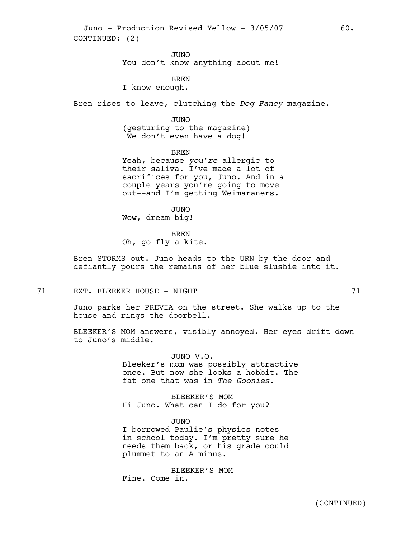Juno - Production Revised Yellow - 3/05/07 60. CONTINUED: (2)

> JUNO You don't know anything about me!

BREN I know enough.

Bren rises to leave, clutching the *Dog Fancy* magazine.

JUNO

(gesturing to the magazine) We don't even have a dog!

BREN

Yeah, because *you're* allergic to their saliva. I've made a lot of sacrifices for you, Juno. And in a couple years you're going to move out--and I'm getting Weimaraners.

JUNO Wow, dream big!

BREN

Oh, go fly a kite.

Bren STORMS out. Juno heads to the URN by the door and defiantly pours the remains of her blue slushie into it.

71 EXT. BLEEKER HOUSE - NIGHT 71 71

Juno parks her PREVIA on the street. She walks up to the house and rings the doorbell.

BLEEKER'S MOM answers, visibly annoyed. Her eyes drift down to Juno's middle.

> JUNO V.O. Bleeker's mom was possibly attractive once. But now she looks a hobbit. The fat one that was in *The Goonies.*

BLEEKER'S MOM Hi Juno. What can I do for you?

JUNO

I borrowed Paulie's physics notes in school today. I'm pretty sure he needs them back, or his grade could plummet to an A minus.

BLEEKER'S MOM Fine. Come in.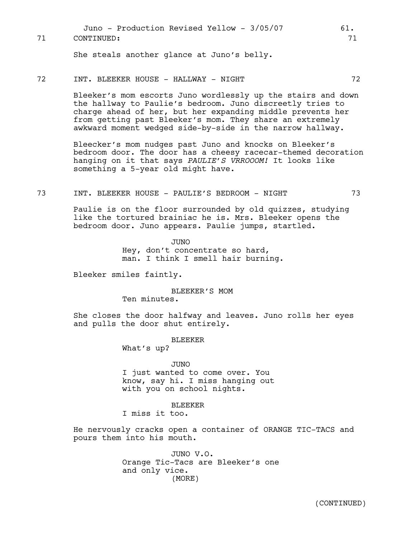Juno - Production Revised Yellow - 3/05/07 61. 71 CONTINUED: 71

She steals another glance at Juno's belly.

## 72 INT. BLEEKER HOUSE - HALLWAY - NIGHT 72

Bleeker's mom escorts Juno wordlessly up the stairs and down the hallway to Paulie's bedroom. Juno discreetly tries to charge ahead of her, but her expanding middle prevents her from getting past Bleeker's mom. They share an extremely awkward moment wedged side-by-side in the narrow hallway.

Bleecker's mom nudges past Juno and knocks on Bleeker's bedroom door. The door has a cheesy racecar-themed decoration hanging on it that says *PAULIE'S VRROOOM!* It looks like something a 5-year old might have.

### 73 INT. BLEEKER HOUSE - PAULIE'S BEDROOM - NIGHT 73

Paulie is on the floor surrounded by old quizzes, studying like the tortured brainiac he is. Mrs. Bleeker opens the bedroom door. Juno appears. Paulie jumps, startled.

> JUNO Hey, don't concentrate so hard, man. I think I smell hair burning.

Bleeker smiles faintly.

BLEEKER'S MOM Ten minutes.

She closes the door halfway and leaves. Juno rolls her eyes and pulls the door shut entirely.

BLEEKER

What's up?

JUNO I just wanted to come over. You know, say hi. I miss hanging out with you on school nights.

#### **BLEEKER**

I miss it too.

He nervously cracks open a container of ORANGE TIC-TACS and pours them into his mouth.

> JUNO V.O. Orange Tic-Tacs are Bleeker's one and only vice. (MORE)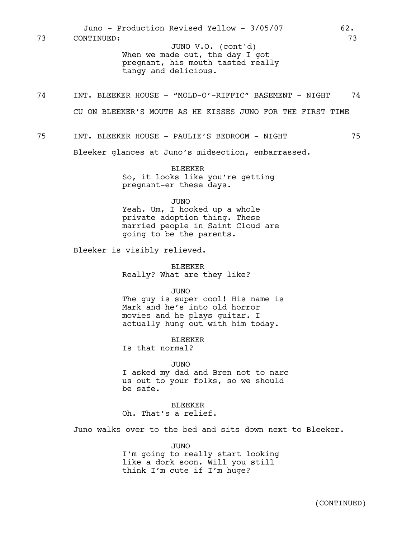When we made out, the day I got pregnant, his mouth tasted really tangy and delicious. Juno - Production Revised Yellow - 3/05/07 62. 73 CONTINUED: 73 JUNO V.O. (cont'd)

- 74 INT. BLEEKER HOUSE "MOLD-O'-RIFFIC" BASEMENT NIGHT 74 CU ON BLEEKER'S MOUTH AS HE KISSES JUNO FOR THE FIRST TIME
- 75 INT. BLEEKER HOUSE PAULIE'S BEDROOM NIGHT 75

Bleeker glances at Juno's midsection, embarrassed.

BLEEKER So, it looks like you're getting pregnant-er these days.

JUNO

Yeah. Um, I hooked up a whole private adoption thing. These married people in Saint Cloud are going to be the parents.

Bleeker is visibly relieved.

BLEEKER Really? What are they like?

JUNO

The guy is super cool! His name is Mark and he's into old horror movies and he plays guitar. I actually hung out with him today.

BLEEKER

Is that normal?

JUNO

I asked my dad and Bren not to narc us out to your folks, so we should be safe.

BLEEKER Oh. That's a relief.

Juno walks over to the bed and sits down next to Bleeker.

JUNO I'm going to really start looking like a dork soon. Will you still think I'm cute if I'm huge?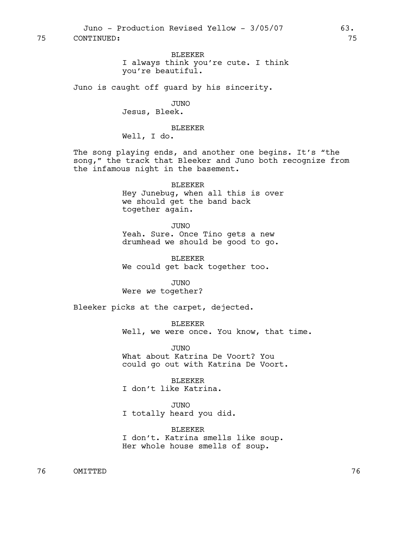BLEEKER I always think you're cute. I think you're beautiful.

Juno is caught off guard by his sincerity.

JUNO Jesus, Bleek.

BLEEKER

Well, I do.

The song playing ends, and another one begins. It's "the song," the track that Bleeker and Juno both recognize from the infamous night in the basement.

> BLEEKER Hey Junebug, when all this is over we should get the band back together again.

JUNO Yeah. Sure. Once Tino gets a new drumhead we should be good to go.

BLEEKER We could get back together too.

JUNO Were *we* together?

Bleeker picks at the carpet, dejected.

BLEEKER Well, we were once. You know, that time.

JUNO What about Katrina De Voort? You could go out with Katrina De Voort.

BLEEKER I don't like Katrina.

JUNO I totally heard you did.

BLEEKER I don't. Katrina smells like soup. Her whole house smells of soup.

76 OMITTED 76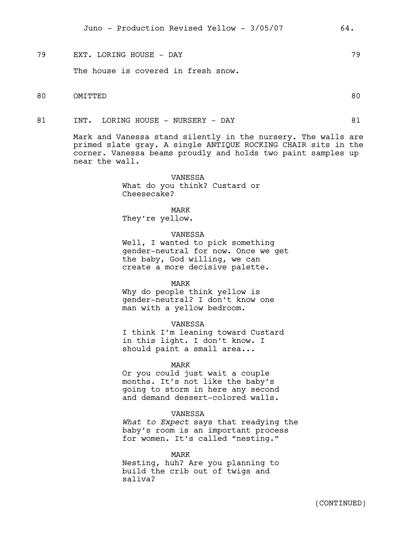79 EXT. LORING HOUSE - DAY 79

The house is covered in fresh snow.

- 80 OMITTED 80
- 81 INT. LORING HOUSE NURSERY DAY 81

Mark and Vanessa stand silently in the nursery. The walls are primed slate gray. A single ANTIQUE ROCKING CHAIR sits in the corner. Vanessa beams proudly and holds two paint samples up near the wall.

> VANESSA What do you think? Custard or Cheesecake?

## MARK

They're yellow.

### VANESSA

Well, I wanted to pick something gender-neutral for now. Once we get the baby, God willing, we can create a more decisive palette.

MARK

Why do people think yellow is gender-neutral? I don't know one man with a yellow bedroom.

#### VANESSA

I think I'm leaning toward Custard in this light. I don't know. I should paint a small area...

## MARK

Or you could just wait a couple months. It's not like the baby's going to storm in here any second and demand dessert-colored walls.

#### VANESSA

*What to Expect* says that readying the baby's room is an important process for women. It's called "nesting."

MARK Nesting, huh? Are you planning to build the crib out of twigs and saliva?

(CONTINUED)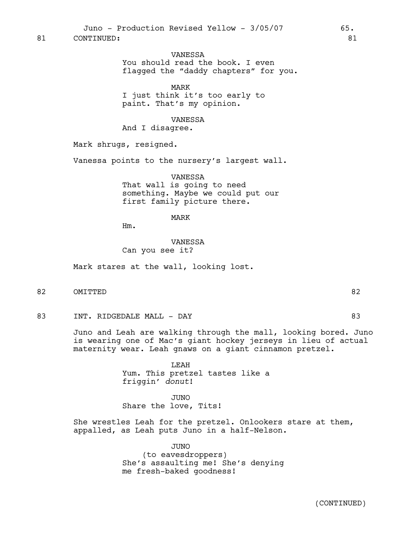VANESSA You should read the book. I even flagged the "daddy chapters" for you.

MARK I just think it's too early to paint. That's my opinion.

VANESSA And I disagree.

Mark shrugs, resigned.

Vanessa points to the nursery's largest wall.

VANESSA That wall is going to need something. Maybe we could put our first family picture there.

# MARK

Hm.

VANESSA Can you see it?

Mark stares at the wall, looking lost.

- 82 OMITTED 82
- 83 INT. RIDGEDALE MALL DAY 83

Juno and Leah are walking through the mall, looking bored. Juno is wearing one of Mac's giant hockey jerseys in lieu of actual maternity wear. Leah gnaws on a giant cinnamon pretzel.

> LEAH Yum. This pretzel tastes like a friggin' *donut*!

JUNO Share the love, Tits!

She wrestles Leah for the pretzel. Onlookers stare at them, appalled, as Leah puts Juno in a half-Nelson.

> JUNO (to eavesdroppers) She's assaulting me! She's denying me fresh-baked goodness!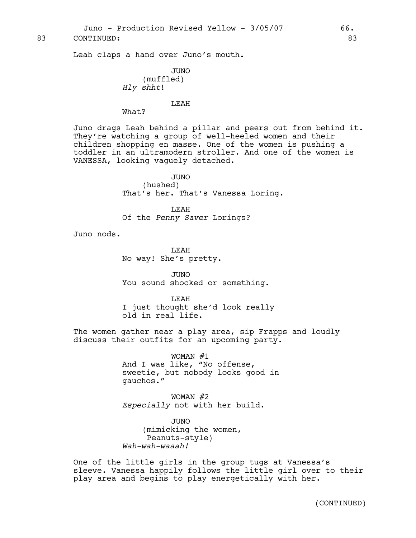83 CONTINUED: 83

Leah claps a hand over Juno's mouth.

```
JUNO
    (muffled)
Hly shht!
```
#### LEAH

What?

Juno drags Leah behind a pillar and peers out from behind it. They're watching a group of well-heeled women and their children shopping en masse. One of the women is pushing a toddler in an ultramodern stroller. And one of the women is VANESSA, looking vaguely detached.

> JUNO (hushed) That's her. That's Vanessa Loring.

LEAH Of the *Penny Saver* Lorings?

Juno nods.

LEAH No way! She's pretty.

JUNO You sound shocked or something.

LEAH I just thought she'd look really old in real life.

The women gather near a play area, sip Frapps and loudly discuss their outfits for an upcoming party.

> WOMAN #1 And I was like, "No offense, sweetie, but nobody looks good in gauchos."

WOMAN #2 *Especially* not with her build.

JUNO (mimicking the women, Peanuts-style) *Wah-wah-waaah!*

One of the little girls in the group tugs at Vanessa's sleeve. Vanessa happily follows the little girl over to their play area and begins to play energetically with her.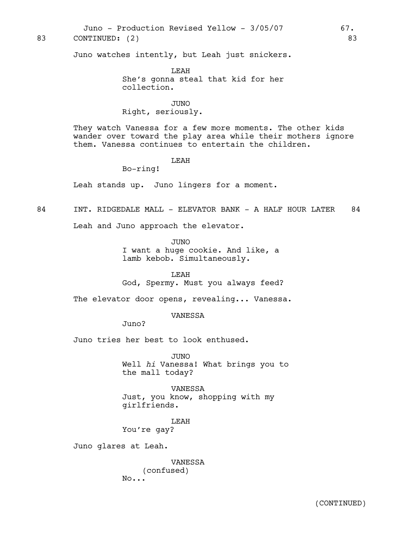Juno - Production Revised Yellow - 3/05/07 67.

## 83 CONTINUED: (2) 83

Juno watches intently, but Leah just snickers.

LEAH She's gonna steal that kid for her collection.

JUNO Right, seriously.

They watch Vanessa for a few more moments. The other kids wander over toward the play area while their mothers ignore them. Vanessa continues to entertain the children.

# LEAH

Bo-ring!

Leah stands up. Juno lingers for a moment.

# 84 INT. RIDGEDALE MALL - ELEVATOR BANK - A HALF HOUR LATER 84

Leah and Juno approach the elevator.

JUNO

I want a huge cookie. And like, a lamb kebob. Simultaneously.

LEAH God, Spermy. Must you always feed?

The elevator door opens, revealing... Vanessa.

VANESSA

Juno?

Juno tries her best to look enthused.

JUNO Well *hi* Vanessa! What brings you to the mall today?

VANESSA Just, you know, shopping with my girlfriends.

LEAH You're gay?

Juno glares at Leah.

VANESSA (confused) No...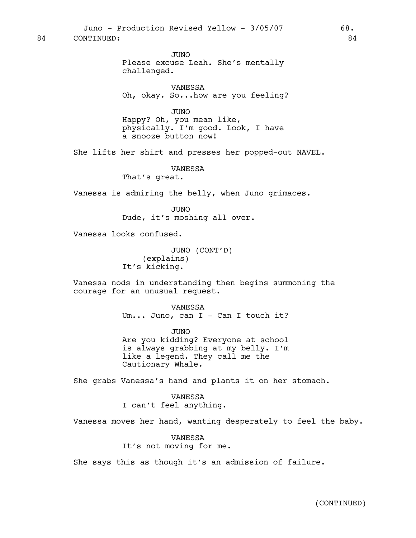JUNO

Please excuse Leah. She's mentally challenged.

VANESSA Oh, okay. So...how are you feeling?

JUNO

Happy? Oh, you mean like, physically. I'm good. Look, I have a snooze button now!

She lifts her shirt and presses her popped-out NAVEL.

VANESSA That's great.

Vanessa is admiring the belly, when Juno grimaces.

JUNO Dude, it's moshing all over.

Vanessa looks confused.

JUNO (CONT'D) (explains) It's kicking.

Vanessa nods in understanding then begins summoning the courage for an unusual request.

> VANESSA Um... Juno, can I - Can I touch it?

> JUNO Are you kidding? Everyone at school is always grabbing at my belly. I'm like a legend. They call me the Cautionary Whale.

She grabs Vanessa's hand and plants it on her stomach.

VANESSA I can't feel anything.

Vanessa moves her hand, wanting desperately to feel the baby.

VANESSA It's not moving for me.

She says this as though it's an admission of failure.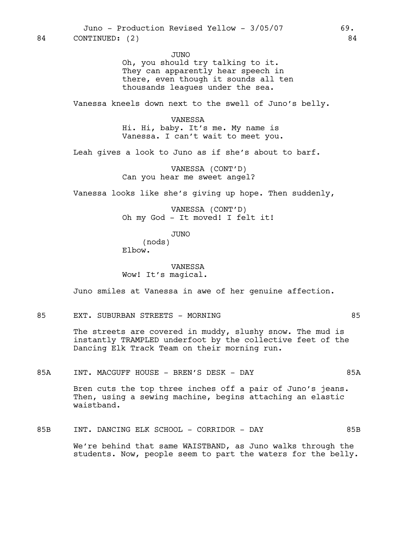JUNO Oh, you should try talking to it. They can apparently hear speech in there, even though it sounds all ten thousands leagues under the sea.

Vanessa kneels down next to the swell of Juno's belly.

VANESSA Hi. Hi, baby. It's me. My name is Vanessa. I can't wait to meet you.

Leah gives a look to Juno as if she's about to barf.

VANESSA (CONT'D) Can you hear me sweet angel?

Vanessa looks like she's giving up hope. Then suddenly,

VANESSA (CONT'D) Oh my God - It moved! I felt it!

> JUNO (nods)

Elbow.

VANESSA Wow! It's magical.

Juno smiles at Vanessa in awe of her genuine affection.

## 85 EXT. SUBURBAN STREETS - MORNING 85

The streets are covered in muddy, slushy snow. The mud is instantly TRAMPLED underfoot by the collective feet of the Dancing Elk Track Team on their morning run.

85A INT. MACGUFF HOUSE - BREN'S DESK - DAY 85A

Bren cuts the top three inches off a pair of Juno's jeans. Then, using a sewing machine, begins attaching an elastic waistband.

85B INT. DANCING ELK SCHOOL - CORRIDOR - DAY 85B We're behind that same WAISTBAND, as Juno walks through the students. Now, people seem to part the waters for the belly.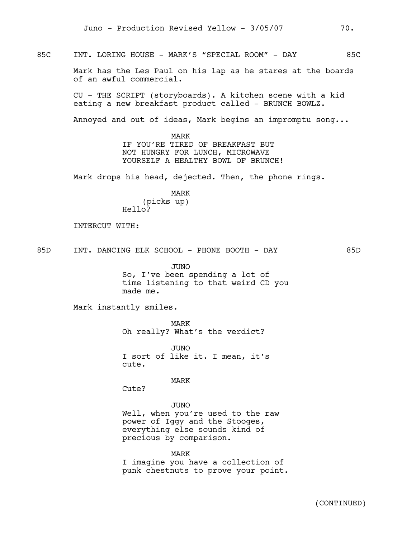85C INT. LORING HOUSE - MARK'S "SPECIAL ROOM" - DAY 85C

Mark has the Les Paul on his lap as he stares at the boards of an awful commercial.

CU - THE SCRIPT (storyboards). A kitchen scene with a kid eating a new breakfast product called - BRUNCH BOWLZ.

Annoyed and out of ideas, Mark begins an impromptu song...

MARK IF YOU'RE TIRED OF BREAKFAST BUT NOT HUNGRY FOR LUNCH, MICROWAVE YOURSELF A HEALTHY BOWL OF BRUNCH!

Mark drops his head, dejected. Then, the phone rings.

MARK (picks up) Hello?

INTERCUT WITH:

85D INT. DANCING ELK SCHOOL - PHONE BOOTH - DAY 85D

JUNO

So, I've been spending a lot of time listening to that weird CD you made me.

Mark instantly smiles.

MARK Oh really? What's the verdict?

JUNO I sort of like it. I mean, it's cute.

MARK

Cute?

JUNO

Well, when you're used to the raw power of Iggy and the Stooges, everything else sounds kind of precious by comparison.

MARK I imagine you have a collection of punk chestnuts to prove your point.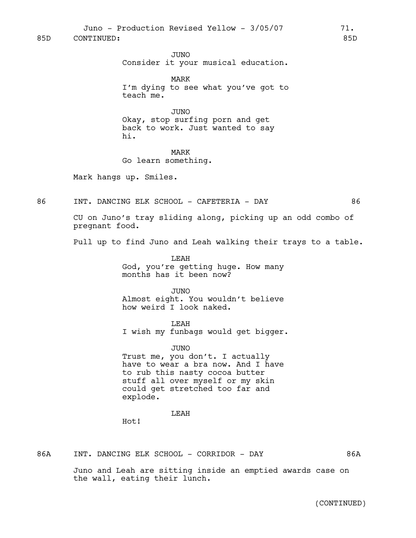Juno - Production Revised Yellow - 3/05/07 71.

85D CONTINUED: 85D

JUNO Consider it your musical education.

MARK I'm dying to see what you've got to teach me.

JUNO Okay, stop surfing porn and get back to work. Just wanted to say hi.

MARK Go learn something.

Mark hangs up. Smiles.

86 INT. DANCING ELK SCHOOL - CAFETERIA - DAY 66

CU on Juno's tray sliding along, picking up an odd combo of pregnant food.

Pull up to find Juno and Leah walking their trays to a table.

LEAH God, you're getting huge. How many months has it been now?

JUNO Almost eight. You wouldn't believe how weird I look naked.

**T.EAH** I wish my funbags would get bigger.

JUNO Trust me, you don't. I actually have to wear a bra now. And I have to rub this nasty cocoa butter stuff all over myself or my skin could get stretched too far and explode.

LEAH

Hot!

86A INT. DANCING ELK SCHOOL - CORRIDOR - DAY 86A

Juno and Leah are sitting inside an emptied awards case on the wall, eating their lunch.

(CONTINUED)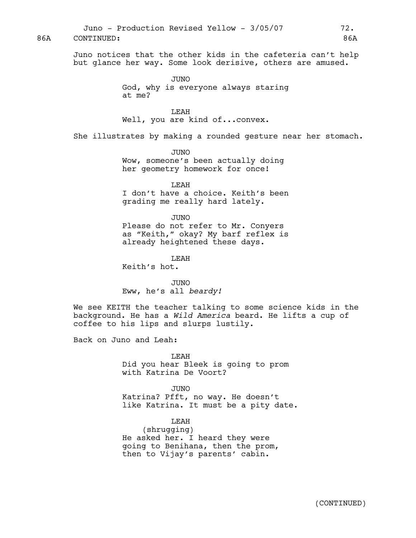Juno - Production Revised Yellow - 3/05/07 72.

86A CONTINUED: 86A

Juno notices that the other kids in the cafeteria can't help but glance her way. Some look derisive, others are amused.

> JUNO God, why is everyone always staring at me?

LEAH Well, you are kind of...convex.

She illustrates by making a rounded gesture near her stomach.

JUNO Wow, someone's been actually doing her geometry homework for once!

LEAH I don't have a choice. Keith's been grading me really hard lately.

JUNO Please do not refer to Mr. Conyers as "Keith," okay? My barf reflex is already heightened these days.

LEAH Keith's hot.

JUNO Eww, he's all *beardy!*

We see KEITH the teacher talking to some science kids in the background. He has a *Wild America* beard. He lifts a cup of coffee to his lips and slurps lustily.

Back on Juno and Leah:

LEAH Did you hear Bleek is going to prom with Katrina De Voort?

JUNO Katrina? Pfft, no way. He doesn't like Katrina. It must be a pity date.

LEAH (shrugging) He asked her. I heard they were going to Benihana, then the prom, then to Vijay's parents' cabin.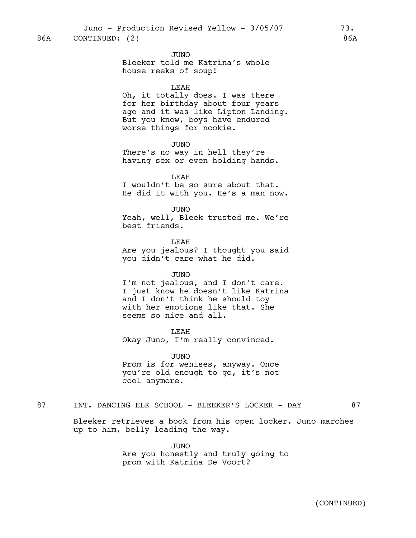86A CONTINUED: (2) 86A

JUNO

Bleeker told me Katrina's whole house reeks of soup!

### LEAH

Oh, it totally does. I was there for her birthday about four years ago and it was like Lipton Landing. But you know, boys have endured worse things for nookie.

JUNO

There's no way in hell they're having sex or even holding hands.

LEAH I wouldn't be so sure about that. He did it with you. He's a man now.

JUNO Yeah, well, Bleek trusted me. We're best friends.

LEAH Are you jealous? I thought you said you didn't care what he did.

# JUNO

I'm not jealous, and I don't care. I just know he doesn't like Katrina and I don't think he should toy with her emotions like that. She seems so nice and all.

LEAH

Okay Juno, I'm really convinced.

JUNO Prom is for wenises, anyway. Once you're old enough to go, it's not cool anymore.

# 87 INT. DANCING ELK SCHOOL - BLEEKER'S LOCKER - DAY 67

Bleeker retrieves a book from his open locker. Juno marches up to him, belly leading the way.

> JUNO Are you honestly and truly going to prom with Katrina De Voort?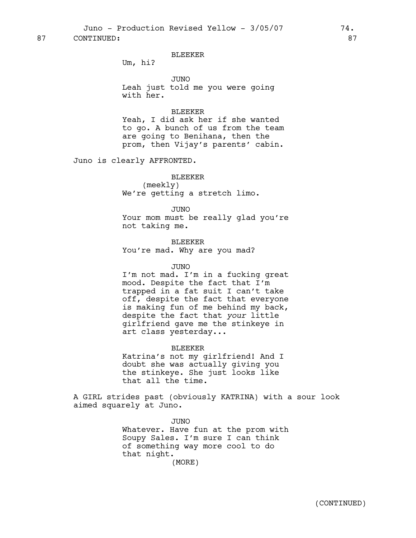Juno - Production Revised Yellow - 3/05/07 74.

87 CONTINUED: 87

# BLEEKER

Um, hi?

JUNO Leah just told me you were going with her.

### BLEEKER

Yeah, I did ask her if she wanted to go. A bunch of us from the team are going to Benihana, then the prom, then Vijay's parents' cabin.

Juno is clearly AFFRONTED.

BLEEKER (meekly) We're getting a stretch limo.

JUNO Your mom must be really glad you're not taking me.

BLEEKER You're mad. Why are you mad?

# JUNO

I'm not mad. I'm in a fucking great mood. Despite the fact that I'm trapped in a fat suit I can't take off, despite the fact that everyone is making fun of me behind my back, despite the fact that *your* little girlfriend gave me the stinkeye in art class yesterday...

#### BLEEKER

Katrina's not my girlfriend! And I doubt she was actually giving you the stinkeye. She just looks like that all the time.

A GIRL strides past (obviously KATRINA) with a sour look aimed squarely at Juno.

> JUNO Whatever. Have fun at the prom with Soupy Sales. I'm sure I can think of something way more cool to do that night. (MORE)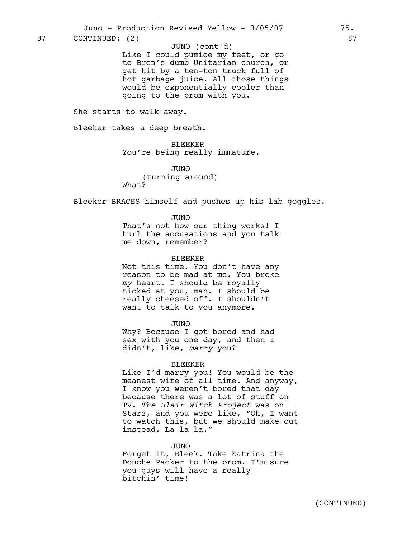87 CONTINUED: (2) 87

### JUNO (cont'd)

Like I could pumice my feet, or go to Bren's dumb Unitarian church, or get hit by a ten-ton truck full of hot garbage juice. All those things would be exponentially cooler than going to the prom with you.

She starts to walk away.

Bleeker takes a deep breath.

BLEEKER You're being really immature.

JUNO (turning around) What?

Bleeker BRACES himself and pushes up his lab goggles.

JUNO

That's not how our thing works! I hurl the accusations and you talk me down, remember?

#### BLEEKER

Not this time. You don't have any reason to be mad at me. You broke *my* heart. I should be royally ticked at you, man. I should be really cheesed off. I shouldn't want to talk to you anymore.

JUNO

Why? Because I got bored and had sex with you one day, and then I didn't, like, *marry* you?

### BLEEKER

Like I'd marry you! You would be the meanest wife of all time. And anyway, I know you weren't bored that day because there was a lot of stuff on TV. *The Blair Witch Project* was on Starz, and you were like, "Oh, I want to watch this, but we should make out instead. La la la."

JUNO

Forget it, Bleek. Take Katrina the Douche Packer to the prom. I'm sure you guys will have a really bitchin' time!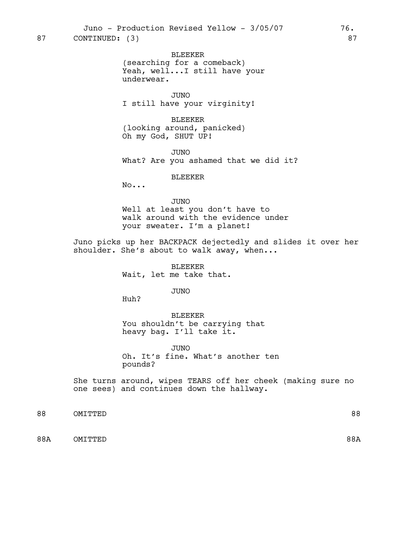BLEEKER (searching for a comeback) Yeah, well...I still have your

underwear.

JUNO I still have your virginity!

BLEEKER (looking around, panicked) Oh my God, SHUT UP!

JUNO What? Are you ashamed that we did it?

BLEEKER

No...

JUNO Well at least you don't have to walk around with the evidence under your sweater. I'm a planet!

Juno picks up her BACKPACK dejectedly and slides it over her shoulder. She's about to walk away, when...

> BLEEKER Wait, let me take that.

> > JUNO

Huh?

BLEEKER You shouldn't be carrying that heavy bag. I'll take it.

JUNO Oh. It's fine. What's another ten pounds?

She turns around, wipes TEARS off her cheek (making sure no one sees) and continues down the hallway.

88 OMITTED 88

88A OMITTED 88A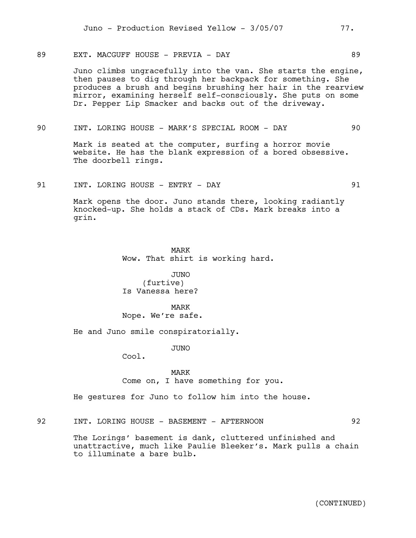89 EXT. MACGUFF HOUSE - PREVIA - DAY 69

Juno climbs ungracefully into the van. She starts the engine, then pauses to dig through her backpack for something. She produces a brush and begins brushing her hair in the rearview mirror, examining herself self-consciously. She puts on some Dr. Pepper Lip Smacker and backs out of the driveway.

90 INT. LORING HOUSE - MARK'S SPECIAL ROOM - DAY 90

Mark is seated at the computer, surfing a horror movie website. He has the blank expression of a bored obsessive. The doorbell rings.

91 INT. LORING HOUSE – ENTRY – DAY 91

Mark opens the door. Juno stands there, looking radiantly knocked-up. She holds a stack of CDs. Mark breaks into a grin.

> MARK Wow. That shirt is working hard.

JUNO (furtive) Is Vanessa here?

MARK Nope. We're safe.

He and Juno smile conspiratorially.

JUNO

Cool.

MARK Come on, I have something for you.

He gestures for Juno to follow him into the house.

92 INT. LORING HOUSE - BASEMENT - AFTERNOON 92

The Lorings' basement is dank, cluttered unfinished and unattractive, much like Paulie Bleeker's. Mark pulls a chain to illuminate a bare bulb.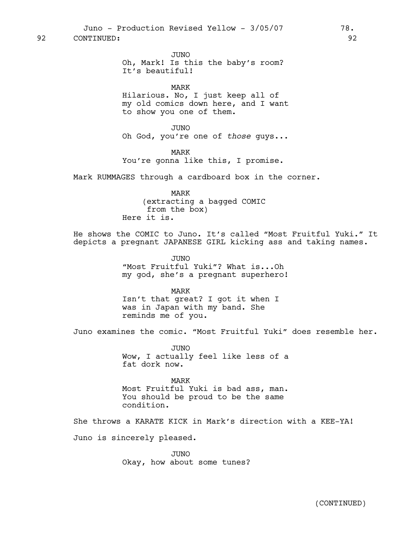92 CONTINUED: 92

JUNO Oh, Mark! Is this the baby's room? It's beautiful!

MARK

Hilarious. No, I just keep all of my old comics down here, and I want to show you one of them.

JUNO Oh God, you're one of *those* guys...

MARK You're gonna like this, I promise.

Mark RUMMAGES through a cardboard box in the corner.

MARK (extracting a bagged COMIC from the box) Here it is.

He shows the COMIC to Juno. It's called "Most Fruitful Yuki." It depicts a pregnant JAPANESE GIRL kicking ass and taking names.

> JUNO "Most Fruitful Yuki"? What is...Oh my god, she's a pregnant superhero!

MARK Isn't that great? I got it when I was in Japan with my band. She reminds me of you.

Juno examines the comic. "Most Fruitful Yuki" does resemble her.

JUNO Wow, I actually feel like less of a fat dork now.

MARK

Most Fruitful Yuki is bad ass, man. You should be proud to be the same condition.

She throws a KARATE KICK in Mark's direction with a KEE-YA!

Juno is sincerely pleased.

JUNO Okay, how about some tunes?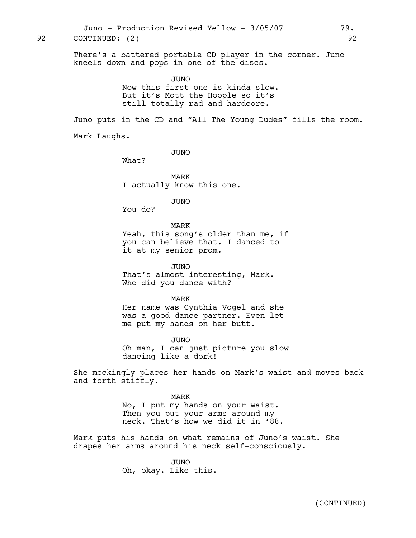There's a battered portable CD player in the corner. Juno kneels down and pops in one of the discs. JUNO Now this first one is kinda slow. But it's Mott the Hoople so it's still totally rad and hardcore. Juno puts in the CD and "All The Young Dudes" fills the room. Mark Laughs. JUNO What? Juno - Production Revised Yellow - 3/05/07 79. 92 CONTINUED: (2) 92

> MARK I actually know this one.

> > JUNO

You do?

MARK Yeah, this song's older than me, if you can believe that. I danced to

it at my senior prom.

JUNO That's almost interesting, Mark. Who did you dance with?

MARK Her name was Cynthia Vogel and she was a good dance partner. Even let me put my hands on her butt.

JUNO Oh man, I can just picture you slow dancing like a dork!

She mockingly places her hands on Mark's waist and moves back and forth stiffly.

> MARK No, I put my hands on your waist. Then you put your arms around my neck. That's how we did it in '88.

Mark puts his hands on what remains of Juno's waist. She drapes her arms around his neck self-consciously.

> JUNO Oh, okay. Like this.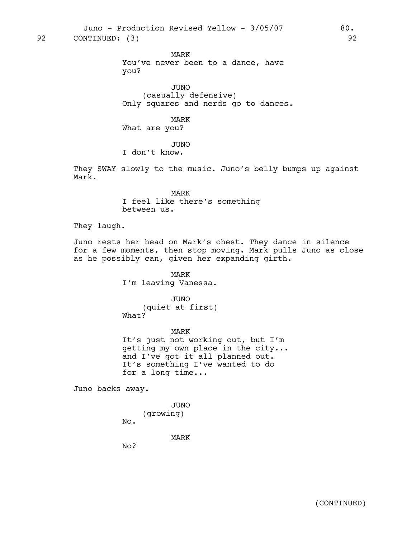Juno - Production Revised Yellow - 3/05/07 80.

92 CONTINUED: (3) 92

MARK You've never been to a dance, have

you? JUNO

(casually defensive) Only squares and nerds go to dances.

MARK What are you?

JUNO

I don't know.

They SWAY slowly to the music. Juno's belly bumps up against Mark.

> MARK I feel like there's something between us.

They laugh.

Juno rests her head on Mark's chest. They dance in silence for a few moments, then stop moving. Mark pulls Juno as close as he possibly can, given her expanding girth.

> MARK I'm leaving Vanessa.

> JUNO (quiet at first) What?

MARK It's just not working out, but I'm getting my own place in the city... and I've got it all planned out. It's something I've wanted to do for a long time...

Juno backs away.

JUNO (growing) No.

MARK

No?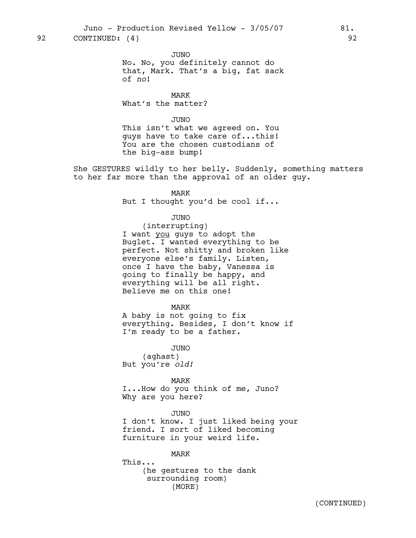JUNO

No. No, you definitely cannot do that, Mark. That's a big, fat sack of *no*!

MARK What's the matter?

JUNO

This isn't what we agreed on. You guys have to take care of...this! You are the chosen custodians of the big-ass bump!

She GESTURES wildly to her belly. Suddenly, something matters to her far more than the approval of an older guy.

> MARK But I thought you'd be cool if...

> > JUNO

(interrupting) I want you guys to adopt the Buglet. I wanted everything to be perfect. Not shitty and broken like everyone else's family. Listen, once I have the baby, Vanessa is going to finally be happy, and everything will be all right. Believe me on this one!

MARK

A baby is not going to fix everything. Besides, I don't know if I'm ready to be a father.

JUNO (aghast) But you're *old!*

MARK I...How do you think of me, Juno? Why are you here?

JUNO I don't know. I just liked being your friend. I sort of liked becoming furniture in your weird life.

MARK This... (he gestures to the dank surrounding room) (MORE)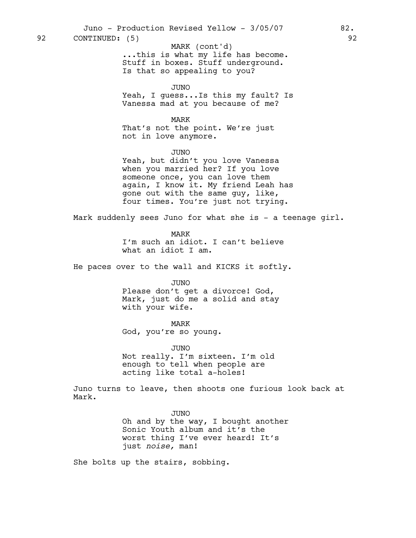...this is what my life has become. Stuff in boxes. Stuff underground. Is that so appealing to you? MARK (cont'd)

JUNO

Yeah, I guess...Is this my fault? Is Vanessa mad at you because of me?

MARK

That's not the point. We're just not in love anymore.

JUNO

Yeah, but didn't you love Vanessa when you married her? If you love someone once, you can love them again, I know it. My friend Leah has gone out with the same guy, like, four times. You're just not trying.

Mark suddenly sees Juno for what she is - a teenage girl.

MARK

I'm such an idiot. I can't believe what an idiot I am.

He paces over to the wall and KICKS it softly.

JUNO

Please don't get a divorce! God, Mark, just do me a solid and stay with your wife.

# MARK

God, you're so young.

JUNO

Not really. I'm sixteen. I'm old enough to tell when people are acting like total a-holes!

Juno turns to leave, then shoots one furious look back at Mark.

> JUNO Oh and by the way, I bought another Sonic Youth album and it's the worst thing I've ever heard! It's just *noise,* man!

She bolts up the stairs, sobbing.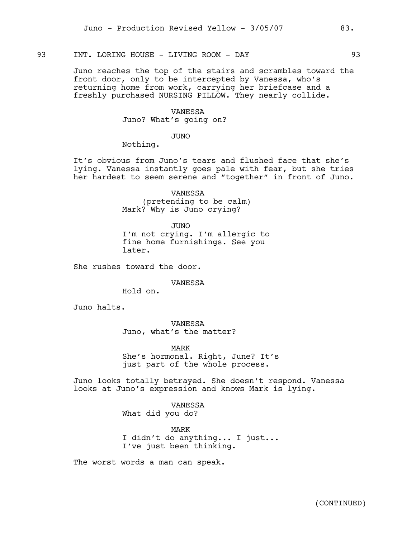# 93 INT. LORING HOUSE - LIVING ROOM - DAY 93

Juno reaches the top of the stairs and scrambles toward the front door, only to be intercepted by Vanessa, who's returning home from work, carrying her briefcase and a freshly purchased NURSING PILLOW. They nearly collide.

> VANESSA Juno? What's going on?

> > JUNO

Nothing.

It's obvious from Juno's tears and flushed face that she's lying. Vanessa instantly goes pale with fear, but she tries her hardest to seem serene and "together" in front of Juno.

> VANESSA (pretending to be calm) Mark? Why is Juno crying?

JUNO I'm not crying. I'm allergic to fine home furnishings. See you later.

She rushes toward the door.

VANESSA

Hold on.

Juno halts.

VANESSA Juno, what's the matter?

MARK She's hormonal. Right, June? It's just part of the whole process.

Juno looks totally betrayed. She doesn't respond. Vanessa looks at Juno's expression and knows Mark is lying.

> VANESSA What did you do?

MARK I didn't do anything... I just... I've just been thinking.

The worst words a man can speak.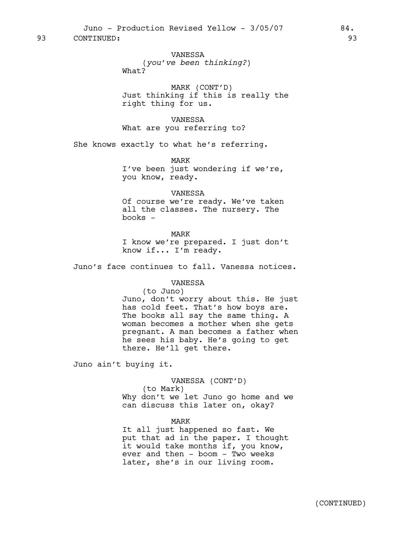Juno - Production Revised Yellow - 3/05/07 84. 93 CONTINUED: 93

VANESSA (*you've been thinking?*) What?

MARK (CONT'D) Just thinking if this is really the right thing for us.

VANESSA What are you referring to?

She knows exactly to what he's referring.

MARK I've been just wondering if we're, you know, ready.

### VANESSA

Of course we're ready. We've taken all the classes. The nursery. The books -

MARK

I know we're prepared. I just don't know if... I'm ready.

Juno's face continues to fall. Vanessa notices.

# VANESSA

(to Juno)

Juno, don't worry about this. He just has cold feet. That's how boys are. The books all say the same thing. A woman becomes a mother when she gets pregnant. A man becomes a father when he sees his baby. He's going to get there. He'll get there.

Juno ain't buying it.

VANESSA (CONT'D) (to Mark) Why don't we let Juno go home and we can discuss this later on, okay?

MARK

It all just happened so fast. We put that ad in the paper. I thought it would take months if, you know, ever and then - boom - Two weeks later, she's in our living room.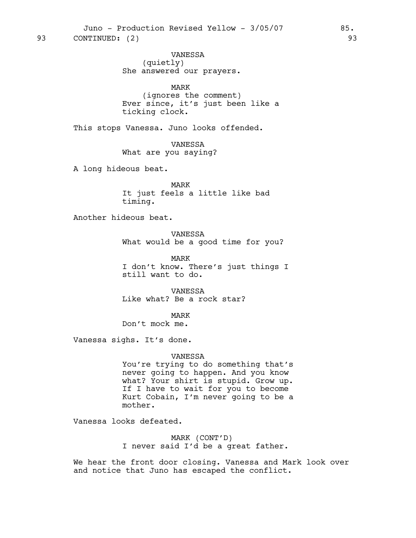VANESSA (quietly) She answered our prayers.

MARK

(ignores the comment) Ever since, it's just been like a ticking clock.

This stops Vanessa. Juno looks offended.

VANESSA What are you saying?

A long hideous beat.

MARK It just feels a little like bad timing.

Another hideous beat.

VANESSA What would be a good time for you?

MARK I don't know. There's just things I still want to do.

VANESSA Like what? Be a rock star?

MARK Don't mock me.

Vanessa sighs. It's done.

#### VANESSA

You're trying to do something that's never going to happen. And you know what? Your shirt is stupid. Grow up. If I have to wait for you to become Kurt Cobain, I'm never going to be a mother.

Vanessa looks defeated.

MARK (CONT'D) I never said I'd be a great father.

We hear the front door closing. Vanessa and Mark look over and notice that Juno has escaped the conflict.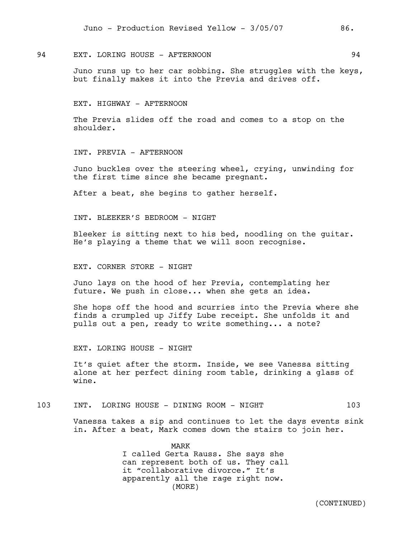# 94 EXT. LORING HOUSE - AFTERNOON 94

Juno runs up to her car sobbing. She struggles with the keys, but finally makes it into the Previa and drives off.

EXT. HIGHWAY - AFTERNOON

The Previa slides off the road and comes to a stop on the shoulder.

INT. PREVIA - AFTERNOON

Juno buckles over the steering wheel, crying, unwinding for the first time since she became pregnant.

After a beat, she begins to gather herself.

INT. BLEEKER'S BEDROOM - NIGHT

Bleeker is sitting next to his bed, noodling on the guitar. He's playing a theme that we will soon recognise.

EXT. CORNER STORE - NIGHT

Juno lays on the hood of her Previa, contemplating her future. We push in close... when she gets an idea.

She hops off the hood and scurries into the Previa where she finds a crumpled up Jiffy Lube receipt. She unfolds it and pulls out a pen, ready to write something... a note?

EXT. LORING HOUSE - NIGHT

It's quiet after the storm. Inside, we see Vanessa sitting alone at her perfect dining room table, drinking a glass of wine.

### 103 INT. LORING HOUSE - DINING ROOM - NIGHT 103

Vanessa takes a sip and continues to let the days events sink in. After a beat, Mark comes down the stairs to join her.

> MARK I called Gerta Rauss. She says she can represent both of us. They call it "collaborative divorce." It's apparently all the rage right now. (MORE)

> > (CONTINUED)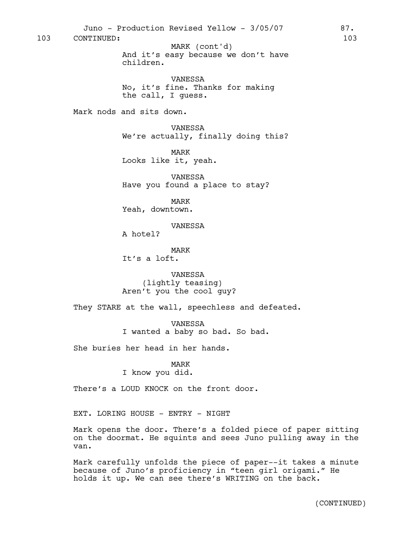And it's easy because we don't have children. VANESSA No, it's fine. Thanks for making the call, I guess. Mark nods and sits down. VANESSA We're actually, finally doing this? MARK Looks like it, yeah. VANESSA Have you found a place to stay? MARK Yeah, downtown. VANESSA A hotel? MARK It's a loft. VANESSA (lightly teasing) Aren't you the cool guy? They STARE at the wall, speechless and defeated. VANESSA I wanted a baby so bad. So bad. She buries her head in her hands. MARK I know you did. There's a LOUD KNOCK on the front door. EXT. LORING HOUSE - ENTRY - NIGHT Mark opens the door. There's a folded piece of paper sitting on the doormat. He squints and sees Juno pulling away in the van. Mark carefully unfolds the piece of paper--it takes a minute because of Juno's proficiency in "teen girl origami." He holds it up. We can see there's WRITING on the back. 103 CONTINUED: 103 MARK (cont'd)

Juno - Production Revised Yellow - 3/05/07 87.

(CONTINUED)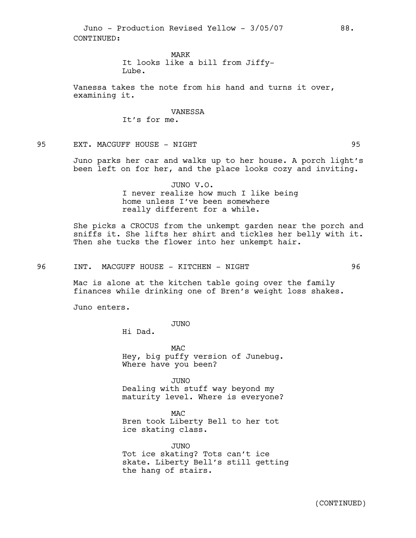Juno - Production Revised Yellow - 3/05/07 88. CONTINUED:

> MARK It looks like a bill from Jiffy-Lube.

Vanessa takes the note from his hand and turns it over, examining it.

> VANESSA It's for me.

95 EXT. MACGUFF HOUSE - NIGHT 95

Juno parks her car and walks up to her house. A porch light's been left on for her, and the place looks cozy and inviting.

> JUNO V.O. I never realize how much I like being home unless I've been somewhere really different for a while.

She picks a CROCUS from the unkempt garden near the porch and sniffs it. She lifts her shirt and tickles her belly with it. Then she tucks the flower into her unkempt hair.

96 INT. MACGUFF HOUSE - KITCHEN - NIGHT 196

Mac is alone at the kitchen table going over the family finances while drinking one of Bren's weight loss shakes.

Juno enters.

JUNO

Hi Dad.

MAC Hey, big puffy version of Junebug. Where have you been?

JUNO Dealing with stuff way beyond my maturity level. Where is everyone?

MAC Bren took Liberty Bell to her tot ice skating class.

JUNO Tot ice skating? Tots can't ice skate. Liberty Bell's still getting the hang of stairs.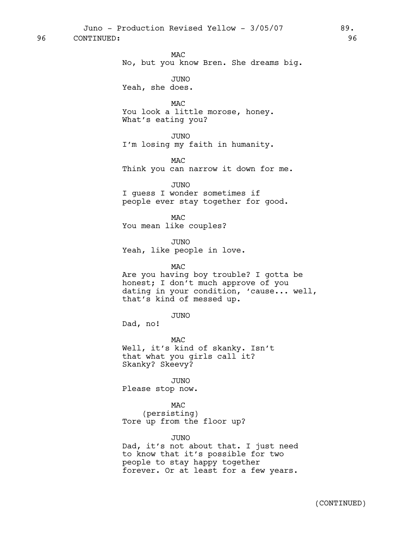96 CONTINUED: 96

MAC No, but you know Bren. She dreams big. JUNO Yeah, she does.

MAC You look a little morose, honey. What's eating you?

JUNO I'm losing my faith in humanity.

MAC Think you can narrow it down for me.

JUNO I guess I wonder sometimes if people ever stay together for good.

MAC You mean like couples?

JUNO

Yeah, like people in love.

MAC

Are you having boy trouble? I gotta be honest; I don't much approve of you dating in your condition, 'cause... well, that's kind of messed up.

JUNO

Dad, no!

MAC Well, it's kind of skanky. Isn't that what you girls call it? Skanky? Skeevy?

JUNO Please stop now.

MAC (persisting) Tore up from the floor up?

### JUNO

Dad, it's not about that. I just need to know that it's possible for two people to stay happy together forever. Or at least for a few years.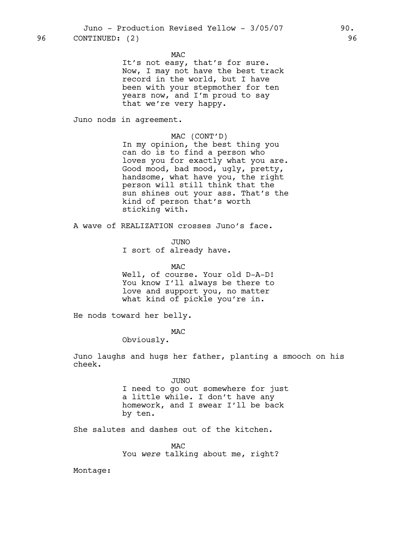MAC

It's not easy, that's for sure. Now, I may not have the best track record in the world, but I have been with your stepmother for ten years now, and I'm proud to say that we're very happy.

Juno nods in agreement.

### MAC (CONT'D)

In my opinion, the best thing you can do is to find a person who loves you for exactly what you are. Good mood, bad mood, ugly, pretty, handsome, what have you, the right person will still think that the sun shines out your ass. That's the kind of person that's worth sticking with.

A wave of REALIZATION crosses Juno's face.

JUNO

I sort of already have.

MAC

Well, of course. Your old D-A-D! You know I'll always be there to love and support you, no matter what kind of pickle you're in.

He nods toward her belly.

MAC

Obviously.

Juno laughs and hugs her father, planting a smooch on his cheek.

## JUNO

I need to go out somewhere for just a little while. I don't have any homework, and I swear I'll be back by ten.

She salutes and dashes out of the kitchen.

MAC You *were* talking about me, right?

Montage: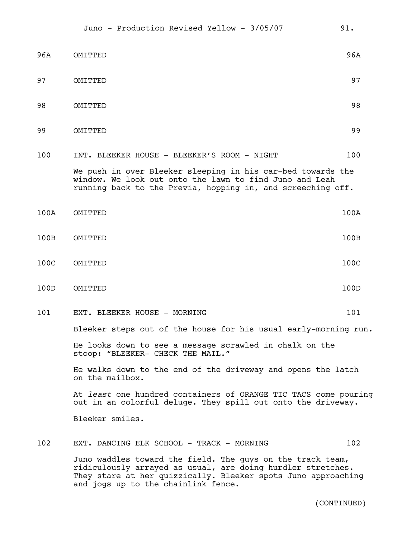| 96A  | OMITTED                                                                                                                                                                                    | 96A  |
|------|--------------------------------------------------------------------------------------------------------------------------------------------------------------------------------------------|------|
| 97   | OMITTED                                                                                                                                                                                    | 97   |
| 98   | OMITTED                                                                                                                                                                                    | 98   |
| 99   | OMITTED                                                                                                                                                                                    | 99   |
| 100  | INT. BLEEKER HOUSE - BLEEKER'S ROOM - NIGHT                                                                                                                                                | 100  |
|      | We push in over Bleeker sleeping in his car-bed towards the<br>window. We look out onto the lawn to find Juno and Leah<br>running back to the Previa, hopping in, and screeching off.      |      |
| 100A | OMITTED                                                                                                                                                                                    | 100A |
| 100B | OMITTED                                                                                                                                                                                    | 100B |
| 100C | OMITTED                                                                                                                                                                                    | 100C |
| 100D | OMITTED                                                                                                                                                                                    | 100D |
| 101  | EXT. BLEEKER HOUSE - MORNING                                                                                                                                                               | 101  |
|      | Bleeker steps out of the house for his usual early-morning run.                                                                                                                            |      |
|      | He looks down to see a message scrawled in chalk on the<br>stoop: "BLEEKER- CHECK THE MAIL."                                                                                               |      |
|      | He walks down to the end of the driveway and opens the latch<br>on the mailbox.                                                                                                            |      |
|      | At least one hundred containers of ORANGE TIC TACS come pouring<br>out in an colorful deluge. They spill out onto the driveway.                                                            |      |
|      | Bleeker smiles.                                                                                                                                                                            |      |
| 102  | EXT. DANCING ELK SCHOOL - TRACK - MORNING                                                                                                                                                  | 102  |
|      | Juno waddles toward the field. The guys on the track team,<br>ridiculously arrayed as usual, are doing hurdler stretches.<br>They stare at her quizzically. Bleeker spots Juno approaching |      |

and jogs up to the chainlink fence.

(CONTINUED)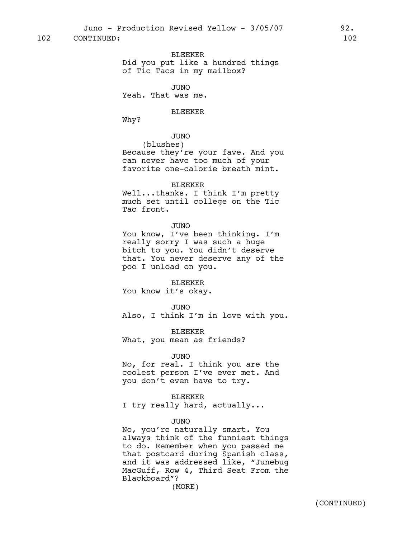### BLEEKER

Did you put like a hundred things of Tic Tacs in my mailbox?

JUNO

Yeah. That was me.

# BLEEKER

Why?

# JUNO

(blushes) Because they're your fave. And you can never have too much of your favorite one-calorie breath mint.

# BLEEKER

Well...thanks. I think I'm pretty much set until college on the Tic Tac front.

#### JUNO

You know, I've been thinking. I'm really sorry I was such a huge bitch to you. You didn't deserve that. You never deserve any of the poo I unload on you.

#### BLEEKER

You know it's okay.

#### JUNO

Also, I think I'm in love with you.

#### BLEEKER

What, you mean as friends?

#### JUNO

No, for real. I think you are the coolest person I've ever met. And you don't even have to try.

#### BLEEKER

I try really hard, actually...

# JUNO

No, you're naturally smart. You always think of the funniest things to do. Remember when you passed me that postcard during Spanish class, and it was addressed like, "Junebug MacGuff, Row 4, Third Seat From the Blackboard"?

(MORE)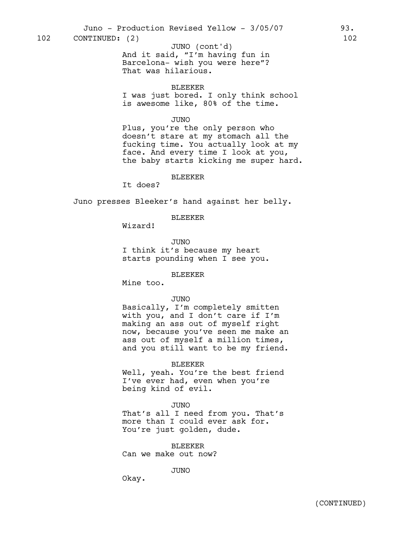102 CONTINUED: (2) 102

BLEEKER

I was just bored. I only think school is awesome like, 80% of the time.

# JUNO

Plus, you're the only person who doesn't stare at my stomach all the fucking time. You actually look at my face. And every time I look at you, the baby starts kicking me super hard.

### BLEEKER

It does?

Juno presses Bleeker's hand against her belly.

# BLEEKER

Wizard!

JUNO I think it's because my heart starts pounding when I see you.

### BLEEKER

Mine too.

# JUNO

Basically, I'm completely smitten with you, and I don't care if I'm making an ass out of myself right now, because you've seen me make an ass out of myself a million times, and you still want to be my friend.

#### BLEEKER

Well, yeah. You're the best friend I've ever had, even when you're being kind of evil.

#### JUNO

That's all I need from you. That's more than I could ever ask for. You're just golden, dude.

BLEEKER Can we make out now?

JUNO

Okay.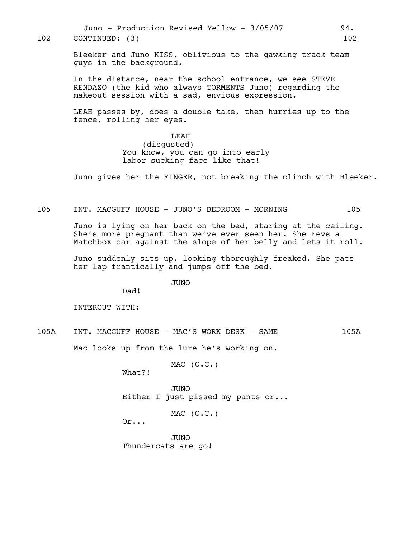Juno - Production Revised Yellow - 3/05/07 94. 102 CONTINUED: (3) 102

> Bleeker and Juno KISS, oblivious to the gawking track team guys in the background.

In the distance, near the school entrance, we see STEVE RENDAZO (the kid who always TORMENTS Juno) regarding the makeout session with a sad, envious expression.

LEAH passes by, does a double take, then hurries up to the fence, rolling her eyes.

> **T.EAH** (disgusted) You know, you can go into early labor sucking face like that!

Juno gives her the FINGER, not breaking the clinch with Bleeker.

105 INT. MACGUFF HOUSE - JUNO'S BEDROOM - MORNING 105

Juno is lying on her back on the bed, staring at the ceiling. She's more pregnant than we've ever seen her. She revs a Matchbox car against the slope of her belly and lets it roll.

Juno suddenly sits up, looking thoroughly freaked. She pats her lap frantically and jumps off the bed.

JUNO

Dad!

INTERCUT WITH:

105A INT. MACGUFF HOUSE - MAC'S WORK DESK - SAME 105A

Mac looks up from the lure he's working on.

MAC (O.C.)

What?!

JUNO Either I just pissed my pants or...

MAC (O.C.)

Or...

JUNO Thundercats are go!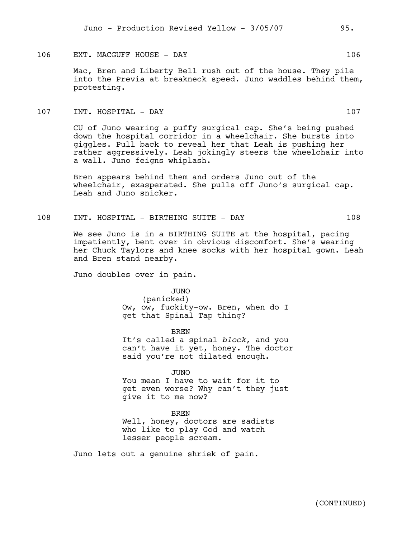# 106 EXT. MACGUFF HOUSE - DAY 106

Mac, Bren and Liberty Bell rush out of the house. They pile into the Previa at breakneck speed. Juno waddles behind them, protesting.

# 107 INT. HOSPITAL - DAY 107

CU of Juno wearing a puffy surgical cap. She's being pushed down the hospital corridor in a wheelchair. She bursts into giggles. Pull back to reveal her that Leah is pushing her rather aggressively. Leah jokingly steers the wheelchair into a wall. Juno feigns whiplash.

Bren appears behind them and orders Juno out of the wheelchair, exasperated. She pulls off Juno's surgical cap. Leah and Juno snicker.

# 108 INT. HOSPITAL - BIRTHING SUITE - DAY 108

We see Juno is in a BIRTHING SUITE at the hospital, pacing impatiently, bent over in obvious discomfort. She's wearing her Chuck Taylors and knee socks with her hospital gown. Leah and Bren stand nearby.

Juno doubles over in pain.

JUNO (panicked) Ow, ow, fuckity-ow. Bren, when do I get that Spinal Tap thing?

BREN It's called a spinal *block*, and you can't have it yet, honey. The doctor said you're not dilated enough.

JUNO You mean I have to wait for it to get even worse? Why can't they just give it to me now?

BREN Well, honey, doctors are sadists who like to play God and watch lesser people scream.

Juno lets out a genuine shriek of pain.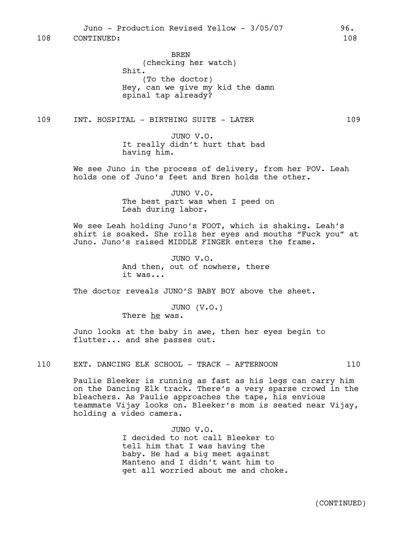BREN (checking her watch) Shit. (To the doctor) Hey, can we give my kid the damn spinal tap already?

109 INT. HOSPITAL - BIRTHING SUITE - LATER 109

JUNO V.O. It really didn't hurt that bad having him.

We see Juno in the process of delivery, from her POV. Leah holds one of Juno's feet and Bren holds the other.

> JUNO V.O. The best part was when I peed on Leah during labor.

We see Leah holding Juno's FOOT, which is shaking. Leah's shirt is soaked. She rolls her eyes and mouths "Fuck you" at Juno. Juno's raised MIDDLE FINGER enters the frame.

> JUNO V.O. And then, out of nowhere, there it was...

The doctor reveals JUNO'S BABY BOY above the sheet.

JUNO (V.O.) There he was.

Juno looks at the baby in awe, then her eyes begin to flutter... and she passes out.

110 EXT. DANCING ELK SCHOOL - TRACK - AFTERNOON 110

Paulie Bleeker is running as fast as his legs can carry him on the Dancing Elk track. There's a very sparse crowd in the bleachers. As Paulie approaches the tape, his envious teammate Vijay looks on. Bleeker's mom is seated near Vijay, holding a video camera.

> JUNO V.O. I decided to not call Bleeker to tell him that I was having the baby. He had a big meet against Manteno and I didn't want him to get all worried about me and choke.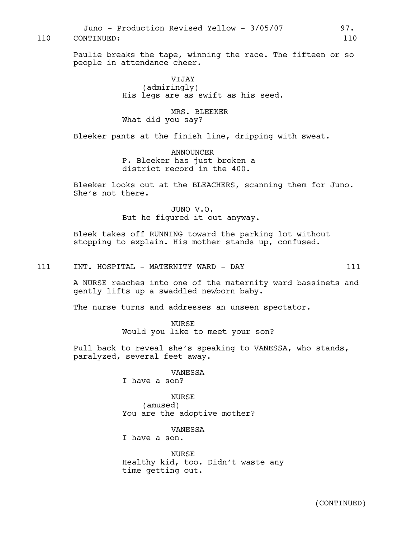Juno - Production Revised Yellow - 3/05/07 97. 110 CONTINUED: 110

Paulie breaks the tape, winning the race. The fifteen or so people in attendance cheer.

> VIJAY (admiringly) His legs are as swift as his seed.

MRS. BLEEKER What did you say?

Bleeker pants at the finish line, dripping with sweat.

ANNOUNCER P. Bleeker has just broken a district record in the 400.

Bleeker looks out at the BLEACHERS, scanning them for Juno. She's not there.

> JUNO V.O. But he figured it out anyway.

Bleek takes off RUNNING toward the parking lot without stopping to explain. His mother stands up, confused.

111 INT. HOSPITAL - MATERNITY WARD - DAY 111

A NURSE reaches into one of the maternity ward bassinets and gently lifts up a swaddled newborn baby.

The nurse turns and addresses an unseen spectator.

**NURSE** Would you like to meet your son?

Pull back to reveal she's speaking to VANESSA, who stands, paralyzed, several feet away.

#### VANESSA

I have a son?

NURSE (amused) You are the adoptive mother?

# VANESSA

I have a son.

**NURSE** Healthy kid, too. Didn't waste any time getting out.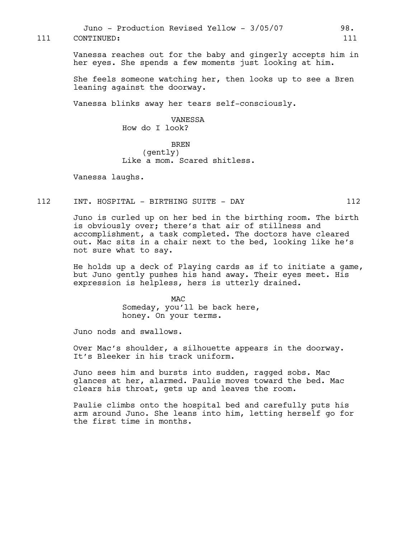Juno - Production Revised Yellow - 3/05/07 98. 111 CONTINUED: 111

> Vanessa reaches out for the baby and gingerly accepts him in her eyes. She spends a few moments just looking at him.

She feels someone watching her, then looks up to see a Bren leaning against the doorway.

Vanessa blinks away her tears self-consciously.

VANESSA How do I look?

BREN (gently) Like a mom. Scared shitless.

Vanessa laughs.

# 112 INT. HOSPITAL - BIRTHING SUITE - DAY 112

Juno is curled up on her bed in the birthing room. The birth is obviously over; there's that air of stillness and accomplishment, a task completed. The doctors have cleared out. Mac sits in a chair next to the bed, looking like he's not sure what to say.

He holds up a deck of Playing cards as if to initiate a game, but Juno gently pushes his hand away. Their eyes meet. His expression is helpless, hers is utterly drained.

> MAC Someday, you'll be back here, honey. On your terms.

Juno nods and swallows.

Over Mac's shoulder, a silhouette appears in the doorway. It's Bleeker in his track uniform.

Juno sees him and bursts into sudden, ragged sobs. Mac glances at her, alarmed. Paulie moves toward the bed. Mac clears his throat, gets up and leaves the room.

Paulie climbs onto the hospital bed and carefully puts his arm around Juno. She leans into him, letting herself go for the first time in months.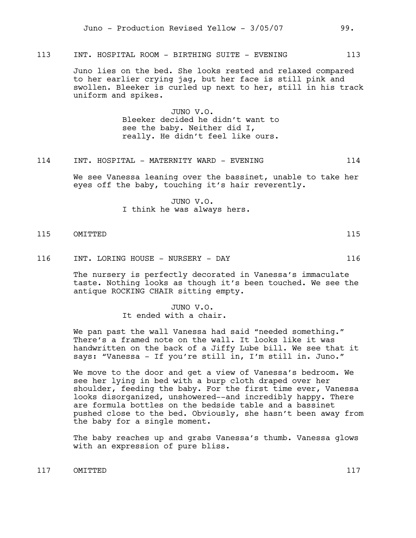113 INT. HOSPITAL ROOM - BIRTHING SUITE - EVENING 113

Juno lies on the bed. She looks rested and relaxed compared to her earlier crying jag, but her face is still pink and swollen. Bleeker is curled up next to her, still in his track uniform and spikes.

> JUNO V.O. Bleeker decided he didn't want to see the baby. Neither did I, really. He didn't feel like ours.

# 114 INT. HOSPITAL - MATERNITY WARD - EVENING 114

We see Vanessa leaning over the bassinet, unable to take her eyes off the baby, touching it's hair reverently.

> JUNO V.O. I think he was always hers.

# 115 OMITTED 115

116 INT. LORING HOUSE - NURSERY - DAY 116

The nursery is perfectly decorated in Vanessa's immaculate taste. Nothing looks as though it's been touched. We see the antique ROCKING CHAIR sitting empty.

> JUNO V.O. It ended with a chair.

We pan past the wall Vanessa had said "needed something." There's a framed note on the wall. It looks like it was handwritten on the back of a Jiffy Lube bill. We see that it says: "Vanessa - If you're still in, I'm still in. Juno."

We move to the door and get a view of Vanessa's bedroom. We see her lying in bed with a burp cloth draped over her shoulder, feeding the baby. For the first time ever, Vanessa looks disorganized, unshowered--and incredibly happy. There are formula bottles on the bedside table and a bassinet pushed close to the bed. Obviously, she hasn't been away from the baby for a single moment.

The baby reaches up and grabs Vanessa's thumb. Vanessa glows with an expression of pure bliss.

117 OMITTED 117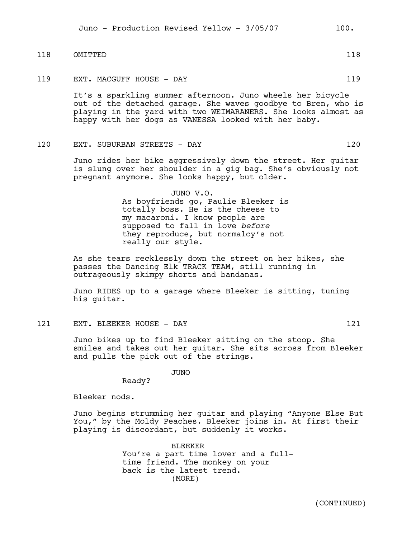118 OMITTED 118

119 EXT. MACGUFF HOUSE - DAY 119

It's a sparkling summer afternoon. Juno wheels her bicycle out of the detached garage. She waves goodbye to Bren, who is playing in the yard with two WEIMARANERS. She looks almost as happy with her dogs as VANESSA looked with her baby.

120 EXT. SUBURBAN STREETS - DAY 120

Juno rides her bike aggressively down the street. Her guitar is slung over her shoulder in a gig bag. She's obviously not pregnant anymore. She looks happy, but older.

> JUNO V.O. As boyfriends go, Paulie Bleeker is totally boss. He is the cheese to my macaroni. I know people are supposed to fall in love *before*  they reproduce, but normalcy's not really our style.

As she tears recklessly down the street on her bikes, she passes the Dancing Elk TRACK TEAM, still running in outrageously skimpy shorts and bandanas.

Juno RIDES up to a garage where Bleeker is sitting, tuning his guitar.

121 EXT. BLEEKER HOUSE - DAY 121

Juno bikes up to find Bleeker sitting on the stoop. She smiles and takes out her guitar. She sits across from Bleeker and pulls the pick out of the strings.

JUNO

Bleeker nods.

Ready?

Juno begins strumming her guitar and playing "Anyone Else But You," by the Moldy Peaches. Bleeker joins in. At first their playing is discordant, but suddenly it works.

> BLEEKER You're a part time lover and a fulltime friend. The monkey on your back is the latest trend. (MORE)

> > (CONTINUED)